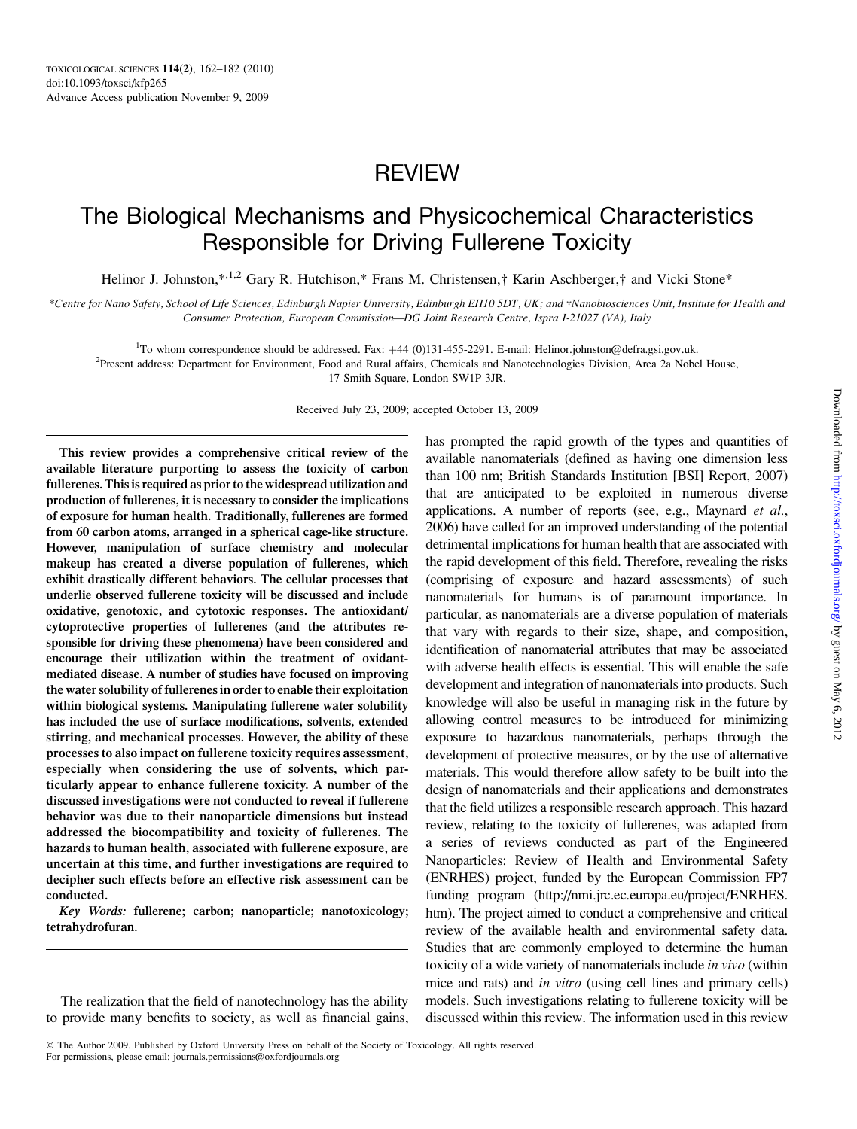# REVIEW

# The Biological Mechanisms and Physicochemical Characteristics Responsible for Driving Fullerene Toxicity

Helinor J. Johnston,\*<sup>1,2</sup> Gary R. Hutchison,\* Frans M. Christensen,† Karin Aschberger,† and Vicki Stone\*

\*Centre for Nano Safety, School of Life Sciences, Edinburgh Napier University, Edinburgh EH10 5DT, UK; and †Nanobiosciences Unit, Institute for Health and Consumer Protection, European Commission—DG Joint Research Centre, Ispra I-21027 (VA), Italy

<sup>1</sup>To whom correspondence should be addressed. Fax:  $+44$  (0)131-455-2291. E-mail: Helinor.johnston@defra.gsi.gov.uk. <sup>2</sup>Present eddress: Department for Environment Eood and Pural officies Chemicals and Nanotechnologies D

<sup>2</sup>Present address: Department for Environment, Food and Rural affairs, Chemicals and Nanotechnologies Division, Area 2a Nobel House,

17 Smith Square, London SW1P 3JR.

Received July 23, 2009; accepted October 13, 2009

This review provides a comprehensive critical review of the available literature purporting to assess the toxicity of carbon fullerenes. This is required as prior to the widespread utilization and production of fullerenes, it is necessary to consider the implications of exposure for human health. Traditionally, fullerenes are formed from 60 carbon atoms, arranged in a spherical cage-like structure. However, manipulation of surface chemistry and molecular makeup has created a diverse population of fullerenes, which exhibit drastically different behaviors. The cellular processes that underlie observed fullerene toxicity will be discussed and include oxidative, genotoxic, and cytotoxic responses. The antioxidant/ cytoprotective properties of fullerenes (and the attributes responsible for driving these phenomena) have been considered and encourage their utilization within the treatment of oxidantmediated disease. A number of studies have focused on improving the water solubility of fullerenes in order to enable their exploitation within biological systems. Manipulating fullerene water solubility has included the use of surface modifications, solvents, extended stirring, and mechanical processes. However, the ability of these processes to also impact on fullerene toxicity requires assessment, especially when considering the use of solvents, which particularly appear to enhance fullerene toxicity. A number of the discussed investigations were not conducted to reveal if fullerene behavior was due to their nanoparticle dimensions but instead addressed the biocompatibility and toxicity of fullerenes. The hazards to human health, associated with fullerene exposure, are uncertain at this time, and further investigations are required to decipher such effects before an effective risk assessment can be conducted.

Key Words: fullerene; carbon; nanoparticle; nanotoxicology; tetrahydrofuran.

The realization that the field of nanotechnology has the ability to provide many benefits to society, as well as financial gains,

has prompted the rapid growth of the types and quantities of available nanomaterials (defined as having one dimension less than 100 nm; British Standards Institution [BSI] Report, 2007) that are anticipated to be exploited in numerous diverse applications. A number of reports (see, e.g., Maynard et al., 2006) have called for an improved understanding of the potential detrimental implications for human health that are associated with the rapid development of this field. Therefore, revealing the risks (comprising of exposure and hazard assessments) of such nanomaterials for humans is of paramount importance. In particular, as nanomaterials are a diverse population of materials that vary with regards to their size, shape, and composition, identification of nanomaterial attributes that may be associated with adverse health effects is essential. This will enable the safe development and integration of nanomaterials into products. Such knowledge will also be useful in managing risk in the future by allowing control measures to be introduced for minimizing exposure to hazardous nanomaterials, perhaps through the development of protective measures, or by the use of alternative materials. This would therefore allow safety to be built into the design of nanomaterials and their applications and demonstrates that the field utilizes a responsible research approach. This hazard review, relating to the toxicity of fullerenes, was adapted from a series of reviews conducted as part of the Engineered Nanoparticles: Review of Health and Environmental Safety (ENRHES) project, funded by the European Commission FP7 funding program [\(http://nmi.jrc.ec.europa.eu/project/ENRHES.](http://nmi.jrc.ec.europa.eu/project/ENRHES.htm) [htm](http://nmi.jrc.ec.europa.eu/project/ENRHES.htm)). The project aimed to conduct a comprehensive and critical review of the available health and environmental safety data. Studies that are commonly employed to determine the human toxicity of a wide variety of nanomaterials include in vivo (within mice and rats) and in vitro (using cell lines and primary cells) models. Such investigations relating to fullerene toxicity will be discussed within this review. The information used in this review

 The Author 2009. Published by Oxford University Press on behalf of the Society of Toxicology. All rights reserved. For permissions, please email: journals.permissions@oxfordjournals.org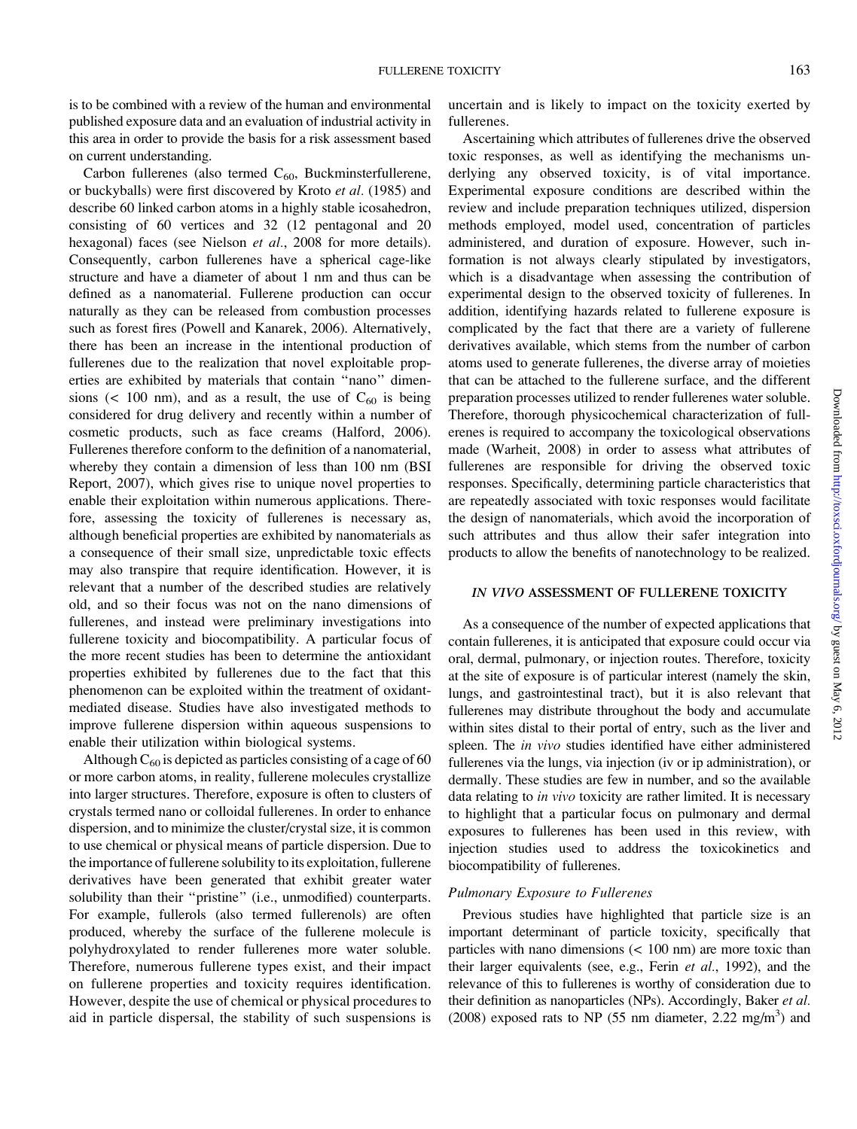is to be combined with a review of the human and environmental published exposure data and an evaluation of industrial activity in this area in order to provide the basis for a risk assessment based on current understanding.

Carbon fullerenes (also termed  $C_{60}$ , Buckminsterfullerene, or buckyballs) were first discovered by Kroto et al. (1985) and describe 60 linked carbon atoms in a highly stable icosahedron, consisting of 60 vertices and 32 (12 pentagonal and 20 hexagonal) faces (see Nielson et al., 2008 for more details). Consequently, carbon fullerenes have a spherical cage-like structure and have a diameter of about 1 nm and thus can be defined as a nanomaterial. Fullerene production can occur naturally as they can be released from combustion processes such as forest fires (Powell and Kanarek, 2006). Alternatively, there has been an increase in the intentional production of fullerenes due to the realization that novel exploitable properties are exhibited by materials that contain ''nano'' dimensions (< 100 nm), and as a result, the use of  $C_{60}$  is being considered for drug delivery and recently within a number of cosmetic products, such as face creams (Halford, 2006). Fullerenes therefore conform to the definition of a nanomaterial, whereby they contain a dimension of less than 100 nm (BSI Report, 2007), which gives rise to unique novel properties to enable their exploitation within numerous applications. Therefore, assessing the toxicity of fullerenes is necessary as, although beneficial properties are exhibited by nanomaterials as a consequence of their small size, unpredictable toxic effects may also transpire that require identification. However, it is relevant that a number of the described studies are relatively old, and so their focus was not on the nano dimensions of fullerenes, and instead were preliminary investigations into fullerene toxicity and biocompatibility. A particular focus of the more recent studies has been to determine the antioxidant properties exhibited by fullerenes due to the fact that this phenomenon can be exploited within the treatment of oxidantmediated disease. Studies have also investigated methods to improve fullerene dispersion within aqueous suspensions to enable their utilization within biological systems.

Although  $C_{60}$  is depicted as particles consisting of a cage of 60 or more carbon atoms, in reality, fullerene molecules crystallize into larger structures. Therefore, exposure is often to clusters of crystals termed nano or colloidal fullerenes. In order to enhance dispersion, and to minimize the cluster/crystal size, it is common to use chemical or physical means of particle dispersion. Due to the importance of fullerene solubility to its exploitation, fullerene derivatives have been generated that exhibit greater water solubility than their "pristine" (i.e., unmodified) counterparts. For example, fullerols (also termed fullerenols) are often produced, whereby the surface of the fullerene molecule is polyhydroxylated to render fullerenes more water soluble. Therefore, numerous fullerene types exist, and their impact on fullerene properties and toxicity requires identification. However, despite the use of chemical or physical procedures to aid in particle dispersal, the stability of such suspensions is

uncertain and is likely to impact on the toxicity exerted by fullerenes.

Ascertaining which attributes of fullerenes drive the observed toxic responses, as well as identifying the mechanisms underlying any observed toxicity, is of vital importance. Experimental exposure conditions are described within the review and include preparation techniques utilized, dispersion methods employed, model used, concentration of particles administered, and duration of exposure. However, such information is not always clearly stipulated by investigators, which is a disadvantage when assessing the contribution of experimental design to the observed toxicity of fullerenes. In addition, identifying hazards related to fullerene exposure is complicated by the fact that there are a variety of fullerene derivatives available, which stems from the number of carbon atoms used to generate fullerenes, the diverse array of moieties that can be attached to the fullerene surface, and the different preparation processes utilized to render fullerenes water soluble. Therefore, thorough physicochemical characterization of fullerenes is required to accompany the toxicological observations made (Warheit, 2008) in order to assess what attributes of fullerenes are responsible for driving the observed toxic responses. Specifically, determining particle characteristics that are repeatedly associated with toxic responses would facilitate the design of nanomaterials, which avoid the incorporation of such attributes and thus allow their safer integration into products to allow the benefits of nanotechnology to be realized.

### IN VIVO ASSESSMENT OF FULLERENE TOXICITY

As a consequence of the number of expected applications that contain fullerenes, it is anticipated that exposure could occur via oral, dermal, pulmonary, or injection routes. Therefore, toxicity at the site of exposure is of particular interest (namely the skin, lungs, and gastrointestinal tract), but it is also relevant that fullerenes may distribute throughout the body and accumulate within sites distal to their portal of entry, such as the liver and spleen. The in vivo studies identified have either administered fullerenes via the lungs, via injection (iv or ip administration), or dermally. These studies are few in number, and so the available data relating to in vivo toxicity are rather limited. It is necessary to highlight that a particular focus on pulmonary and dermal exposures to fullerenes has been used in this review, with injection studies used to address the toxicokinetics and biocompatibility of fullerenes.

### Pulmonary Exposure to Fullerenes

Previous studies have highlighted that particle size is an important determinant of particle toxicity, specifically that particles with nano dimensions (< 100 nm) are more toxic than their larger equivalents (see, e.g., Ferin et al., 1992), and the relevance of this to fullerenes is worthy of consideration due to their definition as nanoparticles (NPs). Accordingly, Baker et al. (2008) exposed rats to NP (55 nm diameter,  $2.22 \text{ mg/m}^3$ ) and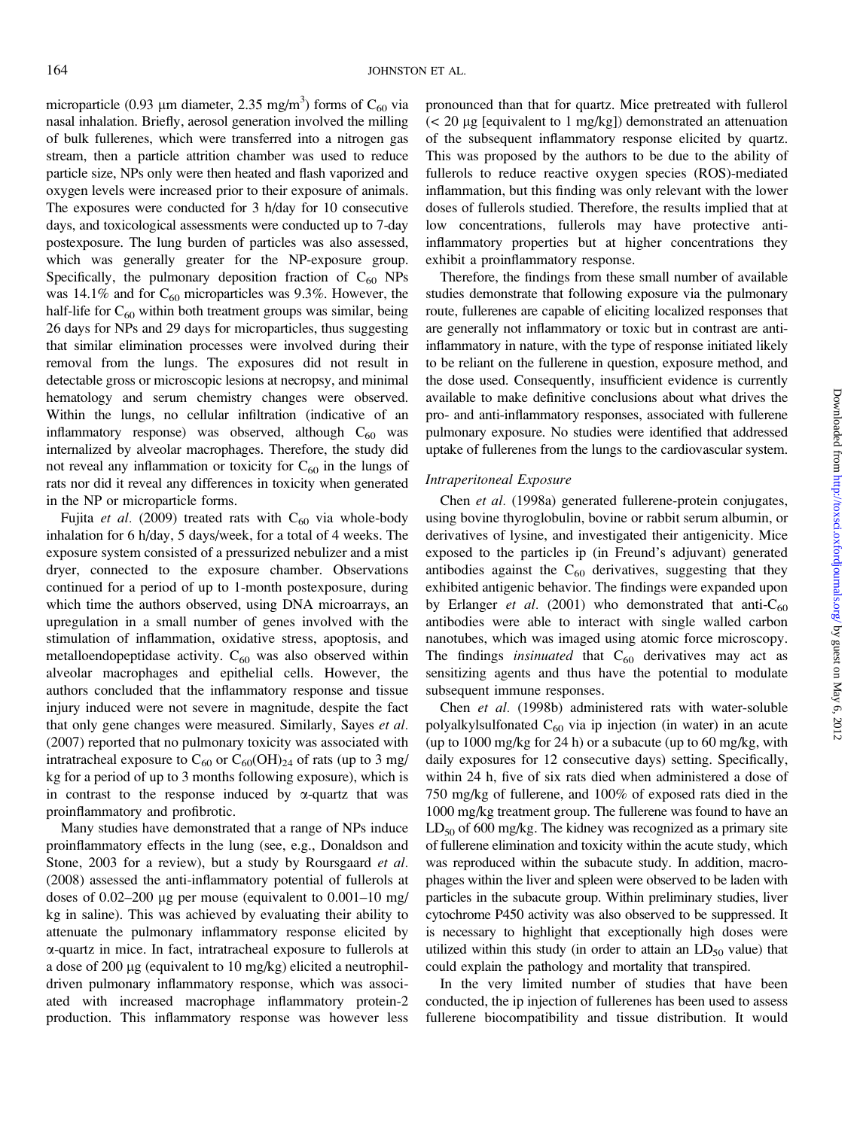microparticle (0.93  $\mu$ m diameter, 2.35 mg/m<sup>3</sup>) forms of C<sub>60</sub> via nasal inhalation. Briefly, aerosol generation involved the milling of bulk fullerenes, which were transferred into a nitrogen gas stream, then a particle attrition chamber was used to reduce particle size, NPs only were then heated and flash vaporized and oxygen levels were increased prior to their exposure of animals. The exposures were conducted for 3 h/day for 10 consecutive days, and toxicological assessments were conducted up to 7-day postexposure. The lung burden of particles was also assessed, which was generally greater for the NP-exposure group. Specifically, the pulmonary deposition fraction of  $C_{60}$  NPs was 14.1% and for  $C_{60}$  microparticles was 9.3%. However, the half-life for  $C_{60}$  within both treatment groups was similar, being 26 days for NPs and 29 days for microparticles, thus suggesting that similar elimination processes were involved during their removal from the lungs. The exposures did not result in detectable gross or microscopic lesions at necropsy, and minimal hematology and serum chemistry changes were observed. Within the lungs, no cellular infiltration (indicative of an inflammatory response) was observed, although  $C_{60}$  was internalized by alveolar macrophages. Therefore, the study did not reveal any inflammation or toxicity for  $C_{60}$  in the lungs of rats nor did it reveal any differences in toxicity when generated in the NP or microparticle forms.

Fujita et al. (2009) treated rats with  $C_{60}$  via whole-body inhalation for 6 h/day, 5 days/week, for a total of 4 weeks. The exposure system consisted of a pressurized nebulizer and a mist dryer, connected to the exposure chamber. Observations continued for a period of up to 1-month postexposure, during which time the authors observed, using DNA microarrays, an upregulation in a small number of genes involved with the stimulation of inflammation, oxidative stress, apoptosis, and metalloendopeptidase activity.  $C_{60}$  was also observed within alveolar macrophages and epithelial cells. However, the authors concluded that the inflammatory response and tissue injury induced were not severe in magnitude, despite the fact that only gene changes were measured. Similarly, Sayes et al. (2007) reported that no pulmonary toxicity was associated with intratracheal exposure to  $C_{60}$  or  $C_{60}(OH)_{24}$  of rats (up to 3 mg/ kg for a period of up to 3 months following exposure), which is in contrast to the response induced by  $\alpha$ -quartz that was proinflammatory and profibrotic.

Many studies have demonstrated that a range of NPs induce proinflammatory effects in the lung (see, e.g., Donaldson and Stone, 2003 for a review), but a study by Roursgaard et al. (2008) assessed the anti-inflammatory potential of fullerols at doses of  $0.02-200$  µg per mouse (equivalent to  $0.001-10$  mg/ kg in saline). This was achieved by evaluating their ability to attenuate the pulmonary inflammatory response elicited by a-quartz in mice. In fact, intratracheal exposure to fullerols at a dose of 200  $\mu$ g (equivalent to 10 mg/kg) elicited a neutrophildriven pulmonary inflammatory response, which was associated with increased macrophage inflammatory protein-2 production. This inflammatory response was however less pronounced than that for quartz. Mice pretreated with fullerol  $(< 20 \mu g$  [equivalent to 1 mg/kg]) demonstrated an attenuation of the subsequent inflammatory response elicited by quartz. This was proposed by the authors to be due to the ability of fullerols to reduce reactive oxygen species (ROS)-mediated inflammation, but this finding was only relevant with the lower doses of fullerols studied. Therefore, the results implied that at low concentrations, fullerols may have protective antiinflammatory properties but at higher concentrations they exhibit a proinflammatory response.

Therefore, the findings from these small number of available studies demonstrate that following exposure via the pulmonary route, fullerenes are capable of eliciting localized responses that are generally not inflammatory or toxic but in contrast are antiinflammatory in nature, with the type of response initiated likely to be reliant on the fullerene in question, exposure method, and the dose used. Consequently, insufficient evidence is currently available to make definitive conclusions about what drives the pro- and anti-inflammatory responses, associated with fullerene pulmonary exposure. No studies were identified that addressed uptake of fullerenes from the lungs to the cardiovascular system.

# Intraperitoneal Exposure

Chen et al. (1998a) generated fullerene-protein conjugates, using bovine thyroglobulin, bovine or rabbit serum albumin, or derivatives of lysine, and investigated their antigenicity. Mice exposed to the particles ip (in Freund's adjuvant) generated antibodies against the  $C_{60}$  derivatives, suggesting that they exhibited antigenic behavior. The findings were expanded upon by Erlanger *et al.* (2001) who demonstrated that anti- $C_{60}$ antibodies were able to interact with single walled carbon nanotubes, which was imaged using atomic force microscopy. The findings *insinuated* that  $C_{60}$  derivatives may act as sensitizing agents and thus have the potential to modulate subsequent immune responses.

Chen et al. (1998b) administered rats with water-soluble polyalkylsulfonated  $C_{60}$  via ip injection (in water) in an acute (up to 1000 mg/kg for 24 h) or a subacute (up to 60 mg/kg, with daily exposures for 12 consecutive days) setting. Specifically, within 24 h, five of six rats died when administered a dose of 750 mg/kg of fullerene, and 100% of exposed rats died in the 1000 mg/kg treatment group. The fullerene was found to have an  $LD_{50}$  of 600 mg/kg. The kidney was recognized as a primary site of fullerene elimination and toxicity within the acute study, which was reproduced within the subacute study. In addition, macrophages within the liver and spleen were observed to be laden with particles in the subacute group. Within preliminary studies, liver cytochrome P450 activity was also observed to be suppressed. It is necessary to highlight that exceptionally high doses were utilized within this study (in order to attain an  $LD_{50}$  value) that could explain the pathology and mortality that transpired.

In the very limited number of studies that have been conducted, the ip injection of fullerenes has been used to assess fullerene biocompatibility and tissue distribution. It would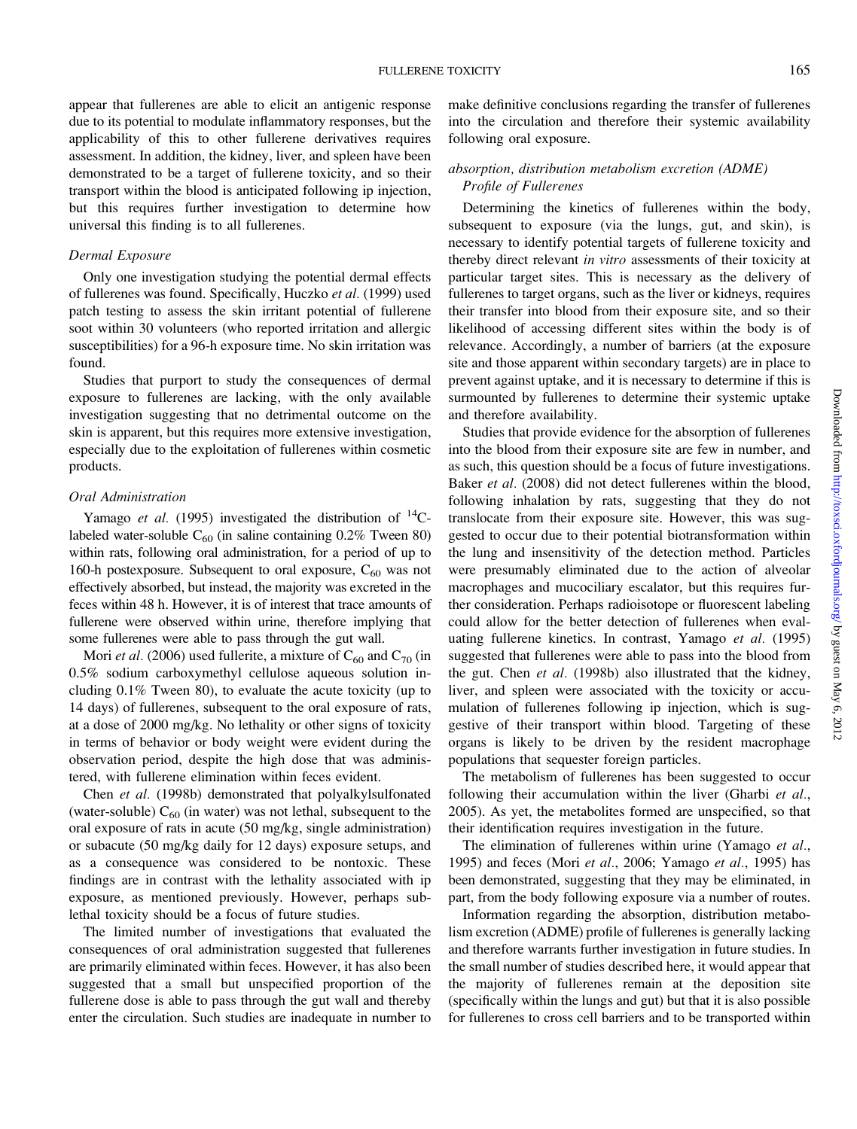appear that fullerenes are able to elicit an antigenic response due to its potential to modulate inflammatory responses, but the applicability of this to other fullerene derivatives requires assessment. In addition, the kidney, liver, and spleen have been demonstrated to be a target of fullerene toxicity, and so their transport within the blood is anticipated following ip injection, but this requires further investigation to determine how universal this finding is to all fullerenes.

### Dermal Exposure

Only one investigation studying the potential dermal effects of fullerenes was found. Specifically, Huczko et al. (1999) used patch testing to assess the skin irritant potential of fullerene soot within 30 volunteers (who reported irritation and allergic susceptibilities) for a 96-h exposure time. No skin irritation was found.

Studies that purport to study the consequences of dermal exposure to fullerenes are lacking, with the only available investigation suggesting that no detrimental outcome on the skin is apparent, but this requires more extensive investigation, especially due to the exploitation of fullerenes within cosmetic products.

# Oral Administration

Yamago et al. (1995) investigated the distribution of  $^{14}$ Clabeled water-soluble  $C_{60}$  (in saline containing 0.2% Tween 80) within rats, following oral administration, for a period of up to 160-h postexposure. Subsequent to oral exposure,  $C_{60}$  was not effectively absorbed, but instead, the majority was excreted in the feces within 48 h. However, it is of interest that trace amounts of fullerene were observed within urine, therefore implying that some fullerenes were able to pass through the gut wall.

Mori *et al.* (2006) used fullerite, a mixture of  $C_{60}$  and  $C_{70}$  (in 0.5% sodium carboxymethyl cellulose aqueous solution including 0.1% Tween 80), to evaluate the acute toxicity (up to 14 days) of fullerenes, subsequent to the oral exposure of rats, at a dose of 2000 mg/kg. No lethality or other signs of toxicity in terms of behavior or body weight were evident during the observation period, despite the high dose that was administered, with fullerene elimination within feces evident.

Chen et al. (1998b) demonstrated that polyalkylsulfonated (water-soluble)  $C_{60}$  (in water) was not lethal, subsequent to the oral exposure of rats in acute (50 mg/kg, single administration) or subacute (50 mg/kg daily for 12 days) exposure setups, and as a consequence was considered to be nontoxic. These findings are in contrast with the lethality associated with ip exposure, as mentioned previously. However, perhaps sublethal toxicity should be a focus of future studies.

The limited number of investigations that evaluated the consequences of oral administration suggested that fullerenes are primarily eliminated within feces. However, it has also been suggested that a small but unspecified proportion of the fullerene dose is able to pass through the gut wall and thereby enter the circulation. Such studies are inadequate in number to make definitive conclusions regarding the transfer of fullerenes into the circulation and therefore their systemic availability following oral exposure.

# absorption, distribution metabolism excretion (ADME) Profile of Fullerenes

Determining the kinetics of fullerenes within the body, subsequent to exposure (via the lungs, gut, and skin), is necessary to identify potential targets of fullerene toxicity and thereby direct relevant in vitro assessments of their toxicity at particular target sites. This is necessary as the delivery of fullerenes to target organs, such as the liver or kidneys, requires their transfer into blood from their exposure site, and so their likelihood of accessing different sites within the body is of relevance. Accordingly, a number of barriers (at the exposure site and those apparent within secondary targets) are in place to prevent against uptake, and it is necessary to determine if this is surmounted by fullerenes to determine their systemic uptake and therefore availability.

Studies that provide evidence for the absorption of fullerenes into the blood from their exposure site are few in number, and as such, this question should be a focus of future investigations. Baker et al. (2008) did not detect fullerenes within the blood, following inhalation by rats, suggesting that they do not translocate from their exposure site. However, this was suggested to occur due to their potential biotransformation within the lung and insensitivity of the detection method. Particles were presumably eliminated due to the action of alveolar macrophages and mucociliary escalator, but this requires further consideration. Perhaps radioisotope or fluorescent labeling could allow for the better detection of fullerenes when evaluating fullerene kinetics. In contrast, Yamago et al. (1995) suggested that fullerenes were able to pass into the blood from the gut. Chen *et al.* (1998b) also illustrated that the kidney, liver, and spleen were associated with the toxicity or accumulation of fullerenes following ip injection, which is suggestive of their transport within blood. Targeting of these organs is likely to be driven by the resident macrophage populations that sequester foreign particles.

The metabolism of fullerenes has been suggested to occur following their accumulation within the liver (Gharbi et al., 2005). As yet, the metabolites formed are unspecified, so that their identification requires investigation in the future.

The elimination of fullerenes within urine (Yamago et al., 1995) and feces (Mori et al., 2006; Yamago et al., 1995) has been demonstrated, suggesting that they may be eliminated, in part, from the body following exposure via a number of routes.

Information regarding the absorption, distribution metabolism excretion (ADME) profile of fullerenes is generally lacking and therefore warrants further investigation in future studies. In the small number of studies described here, it would appear that the majority of fullerenes remain at the deposition site (specifically within the lungs and gut) but that it is also possible for fullerenes to cross cell barriers and to be transported within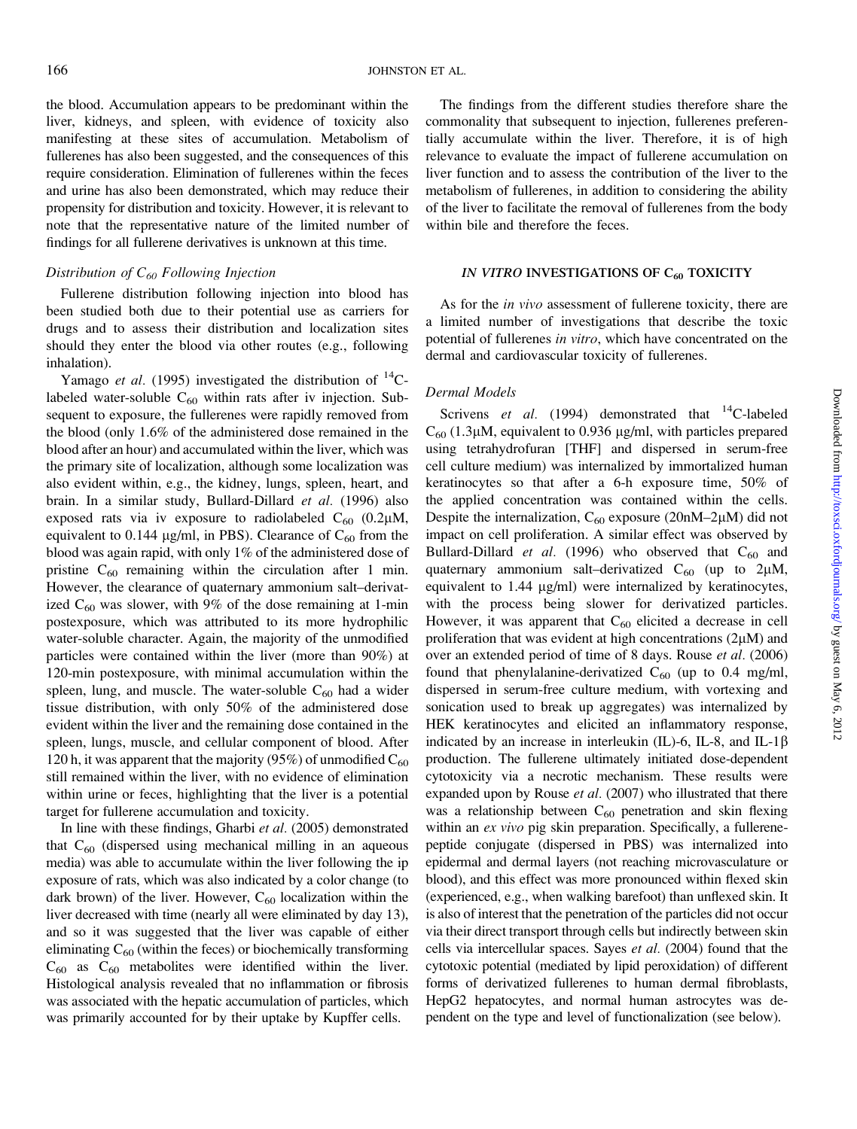the blood. Accumulation appears to be predominant within the liver, kidneys, and spleen, with evidence of toxicity also manifesting at these sites of accumulation. Metabolism of fullerenes has also been suggested, and the consequences of this require consideration. Elimination of fullerenes within the feces and urine has also been demonstrated, which may reduce their propensity for distribution and toxicity. However, it is relevant to note that the representative nature of the limited number of findings for all fullerene derivatives is unknown at this time.

# Distribution of  $C_{60}$  Following Injection

Fullerene distribution following injection into blood has been studied both due to their potential use as carriers for drugs and to assess their distribution and localization sites should they enter the blood via other routes (e.g., following inhalation).

Yamago et al. (1995) investigated the distribution of  $^{14}$ Clabeled water-soluble  $C_{60}$  within rats after iv injection. Subsequent to exposure, the fullerenes were rapidly removed from the blood (only 1.6% of the administered dose remained in the blood after an hour) and accumulated within the liver, which was the primary site of localization, although some localization was also evident within, e.g., the kidney, lungs, spleen, heart, and brain. In a similar study, Bullard-Dillard et al. (1996) also exposed rats via iv exposure to radiolabeled  $C_{60}$  (0.2 $\mu$ M, equivalent to 0.144  $\mu$ g/ml, in PBS). Clearance of C<sub>60</sub> from the blood was again rapid, with only 1% of the administered dose of pristine  $C_{60}$  remaining within the circulation after 1 min. However, the clearance of quaternary ammonium salt–derivatized  $C_{60}$  was slower, with 9% of the dose remaining at 1-min postexposure, which was attributed to its more hydrophilic water-soluble character. Again, the majority of the unmodified particles were contained within the liver (more than 90%) at 120-min postexposure, with minimal accumulation within the spleen, lung, and muscle. The water-soluble  $C_{60}$  had a wider tissue distribution, with only 50% of the administered dose evident within the liver and the remaining dose contained in the spleen, lungs, muscle, and cellular component of blood. After 120 h, it was apparent that the majority (95%) of unmodified  $C_{60}$ still remained within the liver, with no evidence of elimination within urine or feces, highlighting that the liver is a potential target for fullerene accumulation and toxicity.

In line with these findings, Gharbi et al. (2005) demonstrated that  $C_{60}$  (dispersed using mechanical milling in an aqueous media) was able to accumulate within the liver following the ip exposure of rats, which was also indicated by a color change (to dark brown) of the liver. However,  $C_{60}$  localization within the liver decreased with time (nearly all were eliminated by day 13), and so it was suggested that the liver was capable of either eliminating  $C_{60}$  (within the feces) or biochemically transforming  $C_{60}$  as  $C_{60}$  metabolites were identified within the liver. Histological analysis revealed that no inflammation or fibrosis was associated with the hepatic accumulation of particles, which was primarily accounted for by their uptake by Kupffer cells.

The findings from the different studies therefore share the commonality that subsequent to injection, fullerenes preferentially accumulate within the liver. Therefore, it is of high relevance to evaluate the impact of fullerene accumulation on liver function and to assess the contribution of the liver to the metabolism of fullerenes, in addition to considering the ability of the liver to facilitate the removal of fullerenes from the body within bile and therefore the feces.

# IN VITRO INVESTIGATIONS OF  $C_{60}$  TOXICITY

As for the *in vivo* assessment of fullerene toxicity, there are a limited number of investigations that describe the toxic potential of fullerenes in vitro, which have concentrated on the dermal and cardiovascular toxicity of fullerenes.

# Dermal Models

Scrivens et al. (1994) demonstrated that  $^{14}$ C-labeled  $C_{60}$  (1.3µM, equivalent to 0.936 µg/ml, with particles prepared using tetrahydrofuran [THF] and dispersed in serum-free cell culture medium) was internalized by immortalized human keratinocytes so that after a 6-h exposure time, 50% of the applied concentration was contained within the cells. Despite the internalization,  $C_{60}$  exposure (20nM–2 $\mu$ M) did not impact on cell proliferation. A similar effect was observed by Bullard-Dillard *et al.* (1996) who observed that  $C_{60}$  and quaternary ammonium salt–derivatized  $C_{60}$  (up to 2 $\mu$ M, equivalent to  $1.44 \mu g/ml$ ) were internalized by keratinocytes, with the process being slower for derivatized particles. However, it was apparent that  $C_{60}$  elicited a decrease in cell proliferation that was evident at high concentrations  $(2\mu M)$  and over an extended period of time of 8 days. Rouse et al. (2006) found that phenylalanine-derivatized  $C_{60}$  (up to 0.4 mg/ml, dispersed in serum-free culture medium, with vortexing and sonication used to break up aggregates) was internalized by HEK keratinocytes and elicited an inflammatory response, indicated by an increase in interleukin (IL)-6, IL-8, and IL-1 $\beta$ production. The fullerene ultimately initiated dose-dependent cytotoxicity via a necrotic mechanism. These results were expanded upon by Rouse et al. (2007) who illustrated that there was a relationship between  $C_{60}$  penetration and skin flexing within an ex vivo pig skin preparation. Specifically, a fullerenepeptide conjugate (dispersed in PBS) was internalized into epidermal and dermal layers (not reaching microvasculature or blood), and this effect was more pronounced within flexed skin (experienced, e.g., when walking barefoot) than unflexed skin. It is also of interest that the penetration of the particles did not occur via their direct transport through cells but indirectly between skin cells via intercellular spaces. Sayes et al. (2004) found that the cytotoxic potential (mediated by lipid peroxidation) of different forms of derivatized fullerenes to human dermal fibroblasts, HepG2 hepatocytes, and normal human astrocytes was dependent on the type and level of functionalization (see below).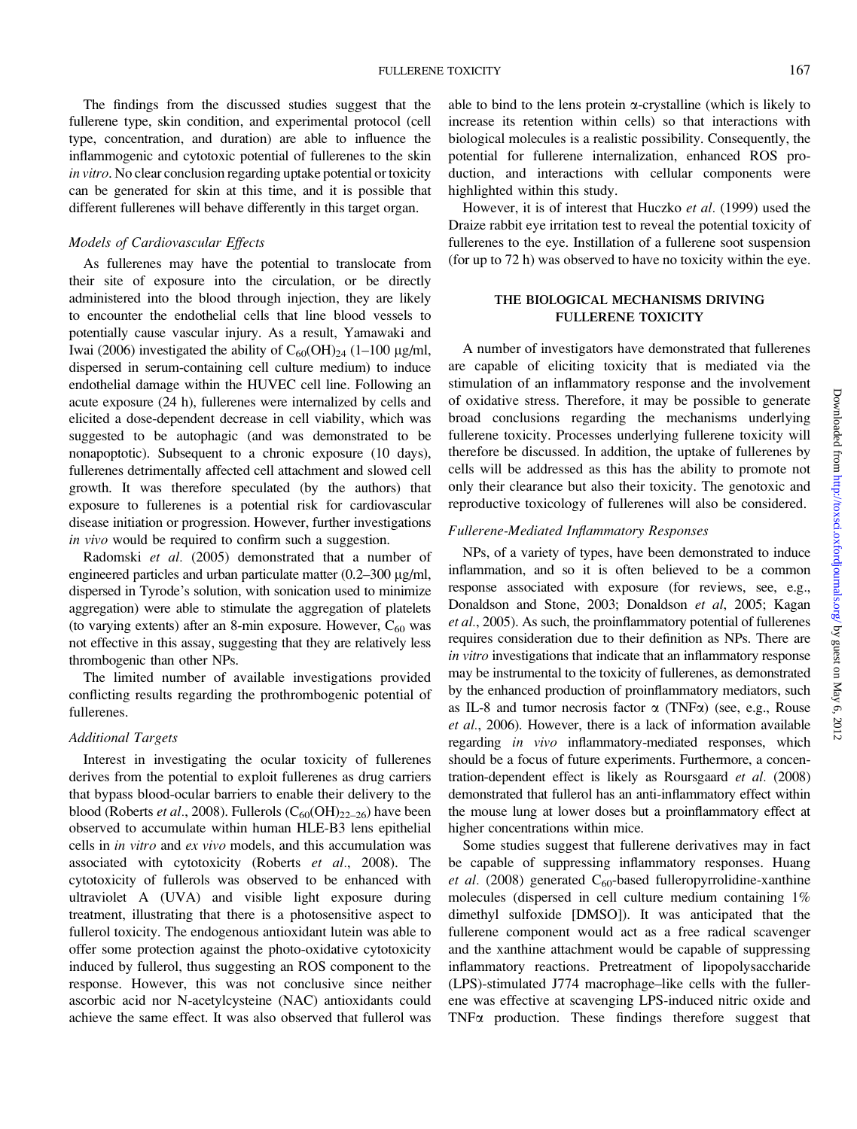The findings from the discussed studies suggest that the fullerene type, skin condition, and experimental protocol (cell type, concentration, and duration) are able to influence the inflammogenic and cytotoxic potential of fullerenes to the skin in vitro. No clear conclusion regarding uptake potential or toxicity can be generated for skin at this time, and it is possible that different fullerenes will behave differently in this target organ.

# Models of Cardiovascular Effects

As fullerenes may have the potential to translocate from their site of exposure into the circulation, or be directly administered into the blood through injection, they are likely to encounter the endothelial cells that line blood vessels to potentially cause vascular injury. As a result, Yamawaki and Iwai (2006) investigated the ability of  $C_{60}(OH)_{24}$  (1–100 µg/ml, dispersed in serum-containing cell culture medium) to induce endothelial damage within the HUVEC cell line. Following an acute exposure (24 h), fullerenes were internalized by cells and elicited a dose-dependent decrease in cell viability, which was suggested to be autophagic (and was demonstrated to be nonapoptotic). Subsequent to a chronic exposure (10 days), fullerenes detrimentally affected cell attachment and slowed cell growth. It was therefore speculated (by the authors) that exposure to fullerenes is a potential risk for cardiovascular disease initiation or progression. However, further investigations in vivo would be required to confirm such a suggestion.

Radomski et al. (2005) demonstrated that a number of engineered particles and urban particulate matter  $(0.2-300 \text{ µg/ml})$ , dispersed in Tyrode's solution, with sonication used to minimize aggregation) were able to stimulate the aggregation of platelets (to varying extents) after an 8-min exposure. However,  $C_{60}$  was not effective in this assay, suggesting that they are relatively less thrombogenic than other NPs.

The limited number of available investigations provided conflicting results regarding the prothrombogenic potential of fullerenes.

# Additional Targets

Interest in investigating the ocular toxicity of fullerenes derives from the potential to exploit fullerenes as drug carriers that bypass blood-ocular barriers to enable their delivery to the blood (Roberts et al., 2008). Fullerols  $(C_{60}(OH)_{22-26})$  have been observed to accumulate within human HLE-B3 lens epithelial cells in in vitro and ex vivo models, and this accumulation was associated with cytotoxicity (Roberts et al., 2008). The cytotoxicity of fullerols was observed to be enhanced with ultraviolet A (UVA) and visible light exposure during treatment, illustrating that there is a photosensitive aspect to fullerol toxicity. The endogenous antioxidant lutein was able to offer some protection against the photo-oxidative cytotoxicity induced by fullerol, thus suggesting an ROS component to the response. However, this was not conclusive since neither ascorbic acid nor N-acetylcysteine (NAC) antioxidants could achieve the same effect. It was also observed that fullerol was able to bind to the lens protein  $\alpha$ -crystalline (which is likely to increase its retention within cells) so that interactions with biological molecules is a realistic possibility. Consequently, the potential for fullerene internalization, enhanced ROS production, and interactions with cellular components were highlighted within this study.

However, it is of interest that Huczko et al. (1999) used the Draize rabbit eye irritation test to reveal the potential toxicity of fullerenes to the eye. Instillation of a fullerene soot suspension (for up to 72 h) was observed to have no toxicity within the eye.

# THE BIOLOGICAL MECHANISMS DRIVING FULLERENE TOXICITY

A number of investigators have demonstrated that fullerenes are capable of eliciting toxicity that is mediated via the stimulation of an inflammatory response and the involvement of oxidative stress. Therefore, it may be possible to generate broad conclusions regarding the mechanisms underlying fullerene toxicity. Processes underlying fullerene toxicity will therefore be discussed. In addition, the uptake of fullerenes by cells will be addressed as this has the ability to promote not only their clearance but also their toxicity. The genotoxic and reproductive toxicology of fullerenes will also be considered.

### Fullerene-Mediated Inflammatory Responses

NPs, of a variety of types, have been demonstrated to induce inflammation, and so it is often believed to be a common response associated with exposure (for reviews, see, e.g., Donaldson and Stone, 2003; Donaldson et al, 2005; Kagan et al., 2005). As such, the proinflammatory potential of fullerenes requires consideration due to their definition as NPs. There are in vitro investigations that indicate that an inflammatory response may be instrumental to the toxicity of fullerenes, as demonstrated by the enhanced production of proinflammatory mediators, such as IL-8 and tumor necrosis factor  $\alpha$  (TNF $\alpha$ ) (see, e.g., Rouse et al., 2006). However, there is a lack of information available regarding in vivo inflammatory-mediated responses, which should be a focus of future experiments. Furthermore, a concentration-dependent effect is likely as Roursgaard et al. (2008) demonstrated that fullerol has an anti-inflammatory effect within the mouse lung at lower doses but a proinflammatory effect at higher concentrations within mice.

Some studies suggest that fullerene derivatives may in fact be capable of suppressing inflammatory responses. Huang *et al.* (2008) generated  $C_{60}$ -based fulleropyrrolidine-xanthine molecules (dispersed in cell culture medium containing 1% dimethyl sulfoxide [DMSO]). It was anticipated that the fullerene component would act as a free radical scavenger and the xanthine attachment would be capable of suppressing inflammatory reactions. Pretreatment of lipopolysaccharide (LPS)-stimulated J774 macrophage–like cells with the fullerene was effective at scavenging LPS-induced nitric oxide and TNFa production. These findings therefore suggest that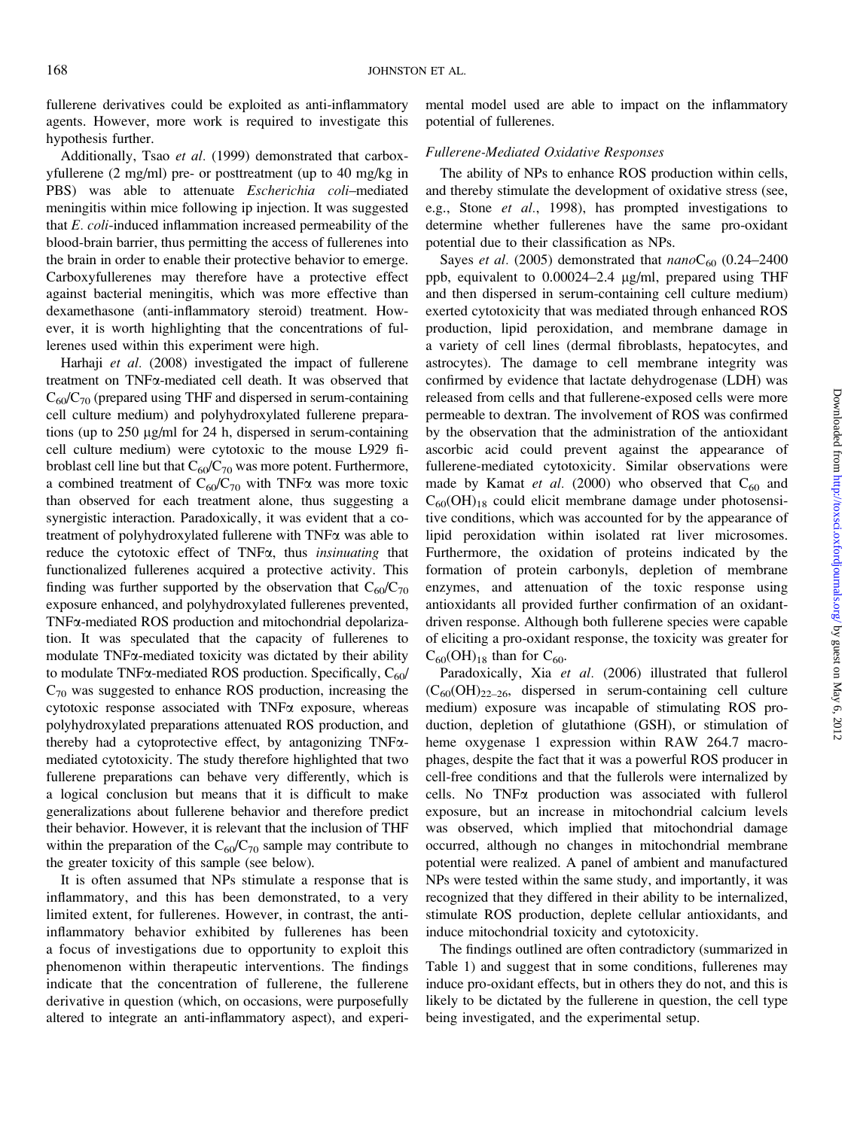fullerene derivatives could be exploited as anti-inflammatory agents. However, more work is required to investigate this hypothesis further.

Additionally, Tsao et al. (1999) demonstrated that carboxyfullerene (2 mg/ml) pre- or posttreatment (up to 40 mg/kg in PBS) was able to attenuate Escherichia coli–mediated meningitis within mice following ip injection. It was suggested that E. coli-induced inflammation increased permeability of the blood-brain barrier, thus permitting the access of fullerenes into the brain in order to enable their protective behavior to emerge. Carboxyfullerenes may therefore have a protective effect against bacterial meningitis, which was more effective than dexamethasone (anti-inflammatory steroid) treatment. However, it is worth highlighting that the concentrations of fullerenes used within this experiment were high.

Harhaji et al. (2008) investigated the impact of fullerene treatment on TNFa-mediated cell death. It was observed that  $C_{60}/C_{70}$  (prepared using THF and dispersed in serum-containing cell culture medium) and polyhydroxylated fullerene preparations (up to  $250 \mu g/ml$  for  $24$  h, dispersed in serum-containing cell culture medium) were cytotoxic to the mouse L929 fibroblast cell line but that  $C_{60}/C_{70}$  was more potent. Furthermore, a combined treatment of  $C_{60}/C_{70}$  with TNF $\alpha$  was more toxic than observed for each treatment alone, thus suggesting a synergistic interaction. Paradoxically, it was evident that a cotreatment of polyhydroxylated fullerene with TNFa was able to reduce the cytotoxic effect of  $TNF\alpha$ , thus *insinuating* that functionalized fullerenes acquired a protective activity. This finding was further supported by the observation that  $C_{60}/C_{70}$ exposure enhanced, and polyhydroxylated fullerenes prevented, TNFa-mediated ROS production and mitochondrial depolarization. It was speculated that the capacity of fullerenes to modulate TNFa-mediated toxicity was dictated by their ability to modulate TNF $\alpha$ -mediated ROS production. Specifically,  $C_{60}/$  $C_{70}$  was suggested to enhance ROS production, increasing the cytotoxic response associated with  $TNF\alpha$  exposure, whereas polyhydroxylated preparations attenuated ROS production, and thereby had a cytoprotective effect, by antagonizing TNFamediated cytotoxicity. The study therefore highlighted that two fullerene preparations can behave very differently, which is a logical conclusion but means that it is difficult to make generalizations about fullerene behavior and therefore predict their behavior. However, it is relevant that the inclusion of THF within the preparation of the  $C_{60}/C_{70}$  sample may contribute to the greater toxicity of this sample (see below).

It is often assumed that NPs stimulate a response that is inflammatory, and this has been demonstrated, to a very limited extent, for fullerenes. However, in contrast, the antiinflammatory behavior exhibited by fullerenes has been a focus of investigations due to opportunity to exploit this phenomenon within therapeutic interventions. The findings indicate that the concentration of fullerene, the fullerene derivative in question (which, on occasions, were purposefully altered to integrate an anti-inflammatory aspect), and experimental model used are able to impact on the inflammatory potential of fullerenes.

# Fullerene-Mediated Oxidative Responses

The ability of NPs to enhance ROS production within cells, and thereby stimulate the development of oxidative stress (see, e.g., Stone et al., 1998), has prompted investigations to determine whether fullerenes have the same pro-oxidant potential due to their classification as NPs.

Sayes et al. (2005) demonstrated that  $nanoC<sub>60</sub>$  (0.24–2400 ppb, equivalent to 0.00024–2.4 lg/ml, prepared using THF and then dispersed in serum-containing cell culture medium) exerted cytotoxicity that was mediated through enhanced ROS production, lipid peroxidation, and membrane damage in a variety of cell lines (dermal fibroblasts, hepatocytes, and astrocytes). The damage to cell membrane integrity was confirmed by evidence that lactate dehydrogenase (LDH) was released from cells and that fullerene-exposed cells were more permeable to dextran. The involvement of ROS was confirmed by the observation that the administration of the antioxidant ascorbic acid could prevent against the appearance of fullerene-mediated cytotoxicity. Similar observations were made by Kamat et al. (2000) who observed that  $C_{60}$  and  $C_{60}(OH)_{18}$  could elicit membrane damage under photosensitive conditions, which was accounted for by the appearance of lipid peroxidation within isolated rat liver microsomes. Furthermore, the oxidation of proteins indicated by the formation of protein carbonyls, depletion of membrane enzymes, and attenuation of the toxic response using antioxidants all provided further confirmation of an oxidantdriven response. Although both fullerene species were capable of eliciting a pro-oxidant response, the toxicity was greater for  $C_{60}(OH)_{18}$  than for  $C_{60}$ .

Paradoxically, Xia et al. (2006) illustrated that fullerol  $(C_{60}(OH)_{22-26}$ , dispersed in serum-containing cell culture medium) exposure was incapable of stimulating ROS production, depletion of glutathione (GSH), or stimulation of heme oxygenase 1 expression within RAW 264.7 macrophages, despite the fact that it was a powerful ROS producer in cell-free conditions and that the fullerols were internalized by cells. No TNFa production was associated with fullerol exposure, but an increase in mitochondrial calcium levels was observed, which implied that mitochondrial damage occurred, although no changes in mitochondrial membrane potential were realized. A panel of ambient and manufactured NPs were tested within the same study, and importantly, it was recognized that they differed in their ability to be internalized, stimulate ROS production, deplete cellular antioxidants, and induce mitochondrial toxicity and cytotoxicity.

The findings outlined are often contradictory (summarized in Table 1) and suggest that in some conditions, fullerenes may induce pro-oxidant effects, but in others they do not, and this is likely to be dictated by the fullerene in question, the cell type being investigated, and the experimental setup.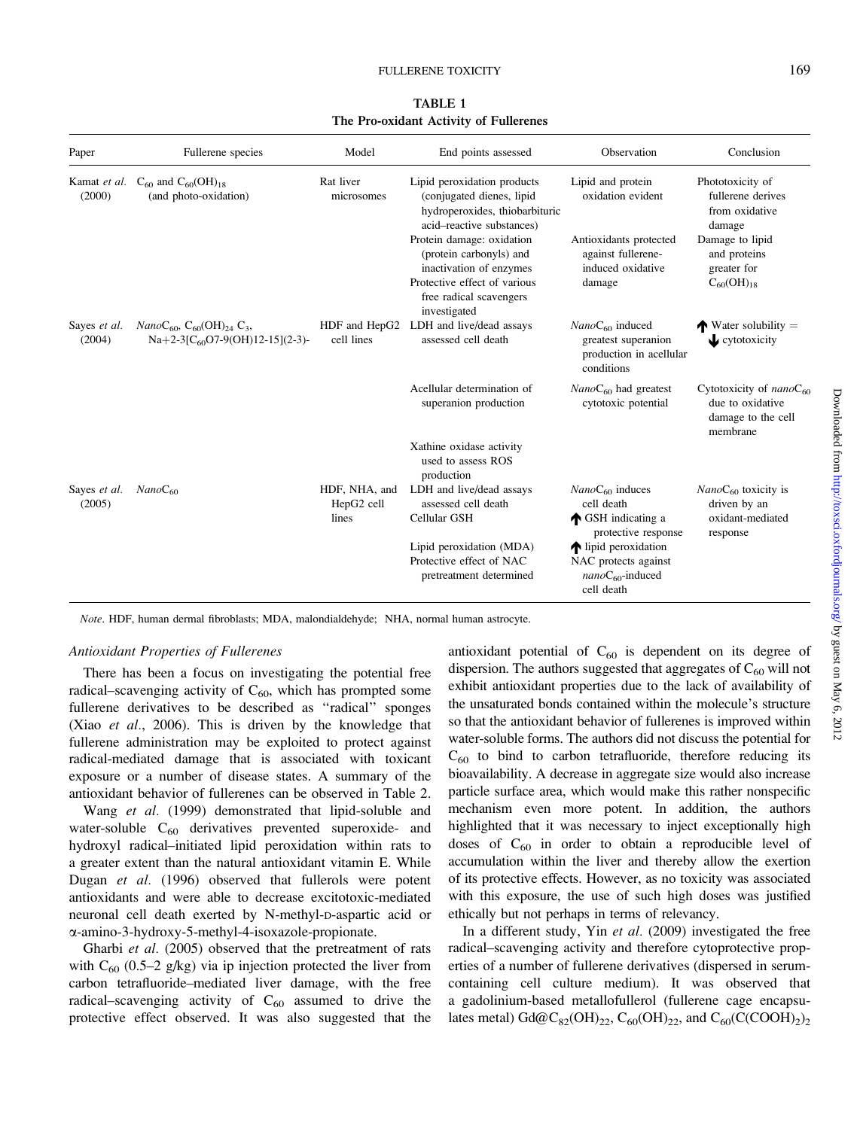TABLE 1 The Pro-oxidant Activity of Fullerenes

| Paper                  | Fullerene species                                                                       | Model                       | End points assessed                                                                                                     | Observation                                                                       | Conclusion                                                                         |
|------------------------|-----------------------------------------------------------------------------------------|-----------------------------|-------------------------------------------------------------------------------------------------------------------------|-----------------------------------------------------------------------------------|------------------------------------------------------------------------------------|
| Kamat et al.<br>(2000) | $C_{60}$ and $C_{60}$ (OH) <sub>18</sub><br>(and photo-oxidation)                       | Rat liver<br>microsomes     | Lipid peroxidation products<br>(conjugated dienes, lipid<br>hydroperoxides, thiobarbituric<br>acid-reactive substances) | Lipid and protein<br>oxidation evident                                            | Phototoxicity of<br>fullerene derives<br>from oxidative<br>damage                  |
|                        |                                                                                         |                             | Protein damage: oxidation<br>(protein carbonyls) and<br>inactivation of enzymes                                         | Antioxidants protected<br>against fullerene-<br>induced oxidative                 | Damage to lipid<br>and proteins<br>greater for                                     |
|                        |                                                                                         |                             | Protective effect of various<br>free radical scavengers<br>investigated                                                 | damage                                                                            | $C_{60}(OH)_{18}$                                                                  |
| Sayes et al.<br>(2004) | $NanoC_{60}$ , $C_{60}$ (OH) <sub>24</sub> $C_3$ ,<br>$Na+2-3[C60O7-9(OH)12-15](2-3)$ - | HDF and HepG2<br>cell lines | LDH and live/dead assays<br>assessed cell death                                                                         | $NanoC60$ induced<br>greatest superanion<br>production in acellular<br>conditions | $\blacktriangleright$ Water solubility $=$<br>$\bullet$ cytotoxicity               |
|                        |                                                                                         |                             | Acellular determination of<br>superanion production                                                                     | $NanoC60$ had greatest<br>cytotoxic potential                                     | Cytotoxicity of $nanoC_{60}$<br>due to oxidative<br>damage to the cell<br>membrane |
|                        |                                                                                         |                             | Xathine oxidase activity<br>used to assess ROS<br>production                                                            |                                                                                   |                                                                                    |
| Sayes et al.<br>(2005) | NanoC <sub>60</sub>                                                                     | HDF, NHA, and<br>HepG2 cell | LDH and live/dead assays<br>assessed cell death                                                                         | $NanoC_{60}$ induces<br>cell death                                                | $NanoC_{60}$ toxicity is<br>driven by an                                           |
|                        |                                                                                         | lines                       | Cellular GSH                                                                                                            | ↑ GSH indicating a<br>protective response                                         | oxidant-mediated<br>response                                                       |
|                        |                                                                                         |                             | Lipid peroxidation (MDA)<br>Protective effect of NAC<br>pretreatment determined                                         | lipid peroxidation<br>NAC protects against<br>$nanoC60$ -induced<br>cell death    |                                                                                    |

Note. HDF, human dermal fibroblasts; MDA, malondialdehyde; NHA, normal human astrocyte.

### Antioxidant Properties of Fullerenes

There has been a focus on investigating the potential free radical–scavenging activity of  $C_{60}$ , which has prompted some fullerene derivatives to be described as ''radical'' sponges (Xiao et al., 2006). This is driven by the knowledge that fullerene administration may be exploited to protect against radical-mediated damage that is associated with toxicant exposure or a number of disease states. A summary of the antioxidant behavior of fullerenes can be observed in Table 2.

Wang et al. (1999) demonstrated that lipid-soluble and water-soluble  $C_{60}$  derivatives prevented superoxide- and hydroxyl radical–initiated lipid peroxidation within rats to a greater extent than the natural antioxidant vitamin E. While Dugan et al. (1996) observed that fullerols were potent antioxidants and were able to decrease excitotoxic-mediated neuronal cell death exerted by N-methyl-D-aspartic acid or a-amino-3-hydroxy-5-methyl-4-isoxazole-propionate.

Gharbi et al. (2005) observed that the pretreatment of rats with  $C_{60}$  (0.5–2 g/kg) via ip injection protected the liver from carbon tetrafluoride–mediated liver damage, with the free radical–scavenging activity of  $C_{60}$  assumed to drive the protective effect observed. It was also suggested that the antioxidant potential of  $C_{60}$  is dependent on its degree of dispersion. The authors suggested that aggregates of  $C_{60}$  will not exhibit antioxidant properties due to the lack of availability of the unsaturated bonds contained within the molecule's structure so that the antioxidant behavior of fullerenes is improved within water-soluble forms. The authors did not discuss the potential for  $C_{60}$  to bind to carbon tetrafluoride, therefore reducing its bioavailability. A decrease in aggregate size would also increase particle surface area, which would make this rather nonspecific mechanism even more potent. In addition, the authors highlighted that it was necessary to inject exceptionally high doses of  $C_{60}$  in order to obtain a reproducible level of accumulation within the liver and thereby allow the exertion of its protective effects. However, as no toxicity was associated with this exposure, the use of such high doses was justified ethically but not perhaps in terms of relevancy.

In a different study, Yin et al. (2009) investigated the free radical–scavenging activity and therefore cytoprotective properties of a number of fullerene derivatives (dispersed in serumcontaining cell culture medium). It was observed that a gadolinium-based metallofullerol (fullerene cage encapsulates metal) Gd@C<sub>82</sub>(OH)<sub>22</sub>, C<sub>60</sub>(OH)<sub>22</sub>, and C<sub>60</sub>(C(COOH)<sub>2</sub>)<sub>2</sub>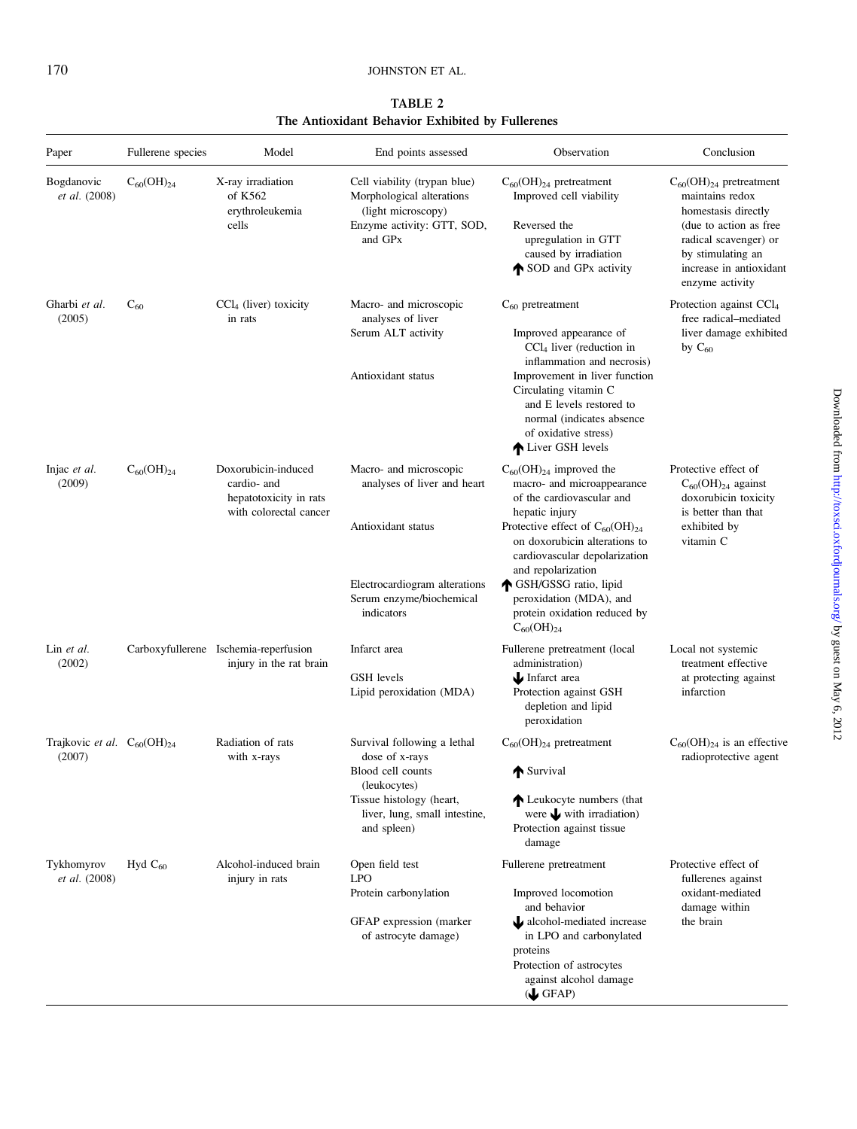# 170 JOHNSTON ET AL.

|                                                  | TABLE 2 |  |  |
|--------------------------------------------------|---------|--|--|
| The Antioxidant Behavior Exhibited by Fullerenes |         |  |  |

| Paper                                                      | Fullerene species | Model                                                                                  | End points assessed                                                                                                                                            | Observation                                                                                                                                                                                                                                                                                                                                            | Conclusion                                                                                                                                                                                     |
|------------------------------------------------------------|-------------------|----------------------------------------------------------------------------------------|----------------------------------------------------------------------------------------------------------------------------------------------------------------|--------------------------------------------------------------------------------------------------------------------------------------------------------------------------------------------------------------------------------------------------------------------------------------------------------------------------------------------------------|------------------------------------------------------------------------------------------------------------------------------------------------------------------------------------------------|
| Bogdanovic<br>et al. (2008)                                | $C_{60}(OH)_{24}$ | X-ray irradiation<br>of K562<br>erythroleukemia<br>cells                               | Cell viability (trypan blue)<br>Morphological alterations<br>(light microscopy)<br>Enzyme activity: GTT, SOD,<br>and GP <sub>x</sub>                           | $C_{60}(OH)_{24}$ pretreatment<br>Improved cell viability<br>Reversed the<br>upregulation in GTT<br>caused by irradiation<br>SOD and GPx activity                                                                                                                                                                                                      | $C_{60}(OH)_{24}$ pretreatment<br>maintains redox<br>homestasis directly<br>(due to action as free<br>radical scavenger) or<br>by stimulating an<br>increase in antioxidant<br>enzyme activity |
| Gharbi et al.<br>(2005)                                    | $C_{60}$          | $CCl4$ (liver) toxicity<br>in rats                                                     | Macro- and microscopic<br>analyses of liver<br>Serum ALT activity<br>Antioxidant status                                                                        | $C_{60}$ pretreatment<br>Improved appearance of<br>$CCl4$ liver (reduction in<br>inflammation and necrosis)<br>Improvement in liver function<br>Circulating vitamin C<br>and E levels restored to<br>normal (indicates absence<br>of oxidative stress)<br>Liver GSH levels                                                                             | Protection against CCl <sub>4</sub><br>free radical-mediated<br>liver damage exhibited<br>by $C_{60}$                                                                                          |
| Injac et al.<br>(2009)                                     | $C_{60}(OH)_{24}$ | Doxorubicin-induced<br>cardio- and<br>hepatotoxicity in rats<br>with colorectal cancer | Macro- and microscopic<br>analyses of liver and heart<br>Antioxidant status<br>Electrocardiogram alterations<br>Serum enzyme/biochemical<br>indicators         | $C_{60}(OH)_{24}$ improved the<br>macro- and microappearance<br>of the cardiovascular and<br>hepatic injury<br>Protective effect of $C_{60}(OH)_{24}$<br>on doxorubicin alterations to<br>cardiovascular depolarization<br>and repolarization<br>GSH/GSSG ratio, lipid<br>peroxidation (MDA), and<br>protein oxidation reduced by<br>$C_{60}(OH)_{24}$ | Protective effect of<br>$C_{60}(OH)_{24}$ against<br>doxorubicin toxicity<br>is better than that<br>exhibited by<br>vitamin C                                                                  |
| Lin et al.<br>(2002)                                       |                   | Carboxyfullerene Ischemia-reperfusion<br>injury in the rat brain                       | Infarct area<br><b>GSH</b> levels<br>Lipid peroxidation (MDA)                                                                                                  | Fullerene pretreatment (local<br>administration)<br>$\bigcup$ Infarct area<br>Protection against GSH<br>depletion and lipid<br>peroxidation                                                                                                                                                                                                            | Local not systemic<br>treatment effective<br>at protecting against<br>infarction                                                                                                               |
| Trajkovic <i>et al.</i> $C_{60}(\text{OH})_{24}$<br>(2007) |                   | Radiation of rats<br>with x-rays                                                       | Survival following a lethal<br>dose of x-rays<br>Blood cell counts<br>(leukocytes)<br>Tissue histology (heart,<br>liver, lung, small intestine,<br>and spleen) | $C_{60}(OH)_{24}$ pretreatment<br>↑ Survival<br>Leukocyte numbers (that<br>were $\blacktriangleright$ with irradiation)<br>Protection against tissue<br>damage                                                                                                                                                                                         | $C_{60}(OH)_{24}$ is an effective<br>radioprotective agent                                                                                                                                     |
| Tykhomyrov<br>et al. (2008)                                | Hyd $C_{60}$      | Alcohol-induced brain<br>injury in rats                                                | Open field test<br><b>LPO</b><br>Protein carbonylation<br>GFAP expression (marker<br>of astrocyte damage)                                                      | Fullerene pretreatment<br>Improved locomotion<br>and behavior<br>alcohol-mediated increase<br>in LPO and carbonylated<br>proteins<br>Protection of astrocytes<br>against alcohol damage<br>$\overline{\mathbf{GFAP}}$                                                                                                                                  | Protective effect of<br>fullerenes against<br>oxidant-mediated<br>damage within<br>the brain                                                                                                   |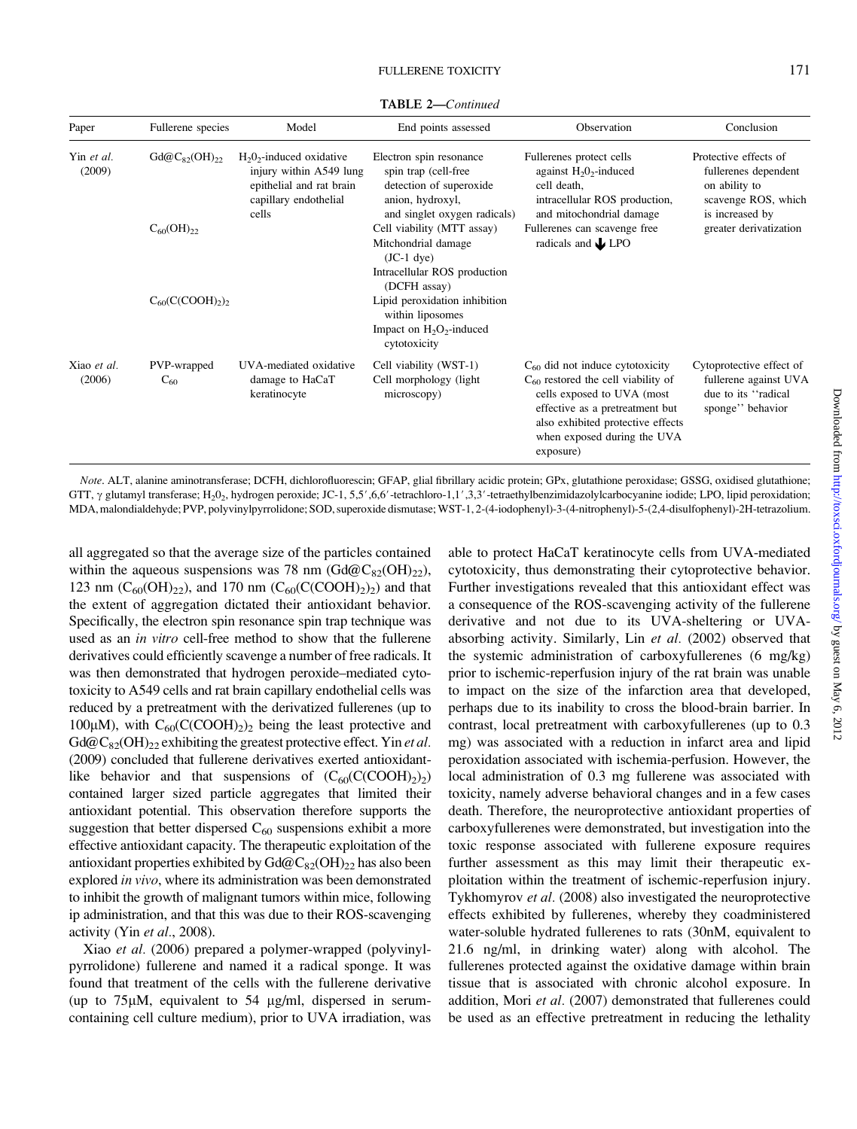| Paper                 | Fullerene species                | Model                                                                                                                | End points assessed                                                                                                            | Observation                                                                                                                                                                                                                       | Conclusion                                                                                               |
|-----------------------|----------------------------------|----------------------------------------------------------------------------------------------------------------------|--------------------------------------------------------------------------------------------------------------------------------|-----------------------------------------------------------------------------------------------------------------------------------------------------------------------------------------------------------------------------------|----------------------------------------------------------------------------------------------------------|
| Yin et al.<br>(2009)  | $Gd(\mathcal{Q}C_{82}(OH)_{22})$ | $H_2O_2$ -induced oxidative<br>injury within A549 lung<br>epithelial and rat brain<br>capillary endothelial<br>cells | Electron spin resonance<br>spin trap (cell-free<br>detection of superoxide<br>anion, hydroxyl,<br>and singlet oxygen radicals) | Fullerenes protect cells<br>against $H_2O_2$ -induced<br>cell death,<br>intracellular ROS production,<br>and mitochondrial damage                                                                                                 | Protective effects of<br>fullerenes dependent<br>on ability to<br>scavenge ROS, which<br>is increased by |
|                       | $C_{60}(OH)_{22}$                |                                                                                                                      | Cell viability (MTT assay)<br>Mitchondrial damage<br>$(JC-1 dye)$<br>Intracellular ROS production                              | Fullerenes can scavenge free<br>radicals and $\blacktriangleright$ LPO                                                                                                                                                            | greater derivatization                                                                                   |
|                       | $C_{60}(C(COOH)_2)$              |                                                                                                                      | (DCFH assay)<br>Lipid peroxidation inhibition<br>within liposomes<br>Impact on $H_2O_2$ -induced<br>cytotoxicity               |                                                                                                                                                                                                                                   |                                                                                                          |
| Xiao et al.<br>(2006) | PVP-wrapped<br>$C_{60}$          | UVA-mediated oxidative<br>damage to HaCaT<br>keratinocyte                                                            | Cell viability (WST-1)<br>Cell morphology (light)<br>microscopy)                                                               | $C_{60}$ did not induce cytotoxicity<br>$C_{60}$ restored the cell viability of<br>cells exposed to UVA (most<br>effective as a pretreatment but<br>also exhibited protective effects<br>when exposed during the UVA<br>exposure) | Cytoprotective effect of<br>fullerene against UVA<br>due to its "radical"<br>sponge" behavior            |

TABLE 2—Continued

Note. ALT, alanine aminotransferase; DCFH, dichlorofluorescin; GFAP, glial fibrillary acidic protein; GPx, glutathione peroxidase; GSSG, oxidised glutathione; GTT,  $\gamma$  glutamyl transferase; H<sub>2</sub>0<sub>2</sub>, hydrogen peroxide; JC-1, 5,5',6,6'-tetrachloro-1,1',3,3'-tetraethylbenzimidazolylcarbocyanine iodide; LPO, lipid peroxidation; MDA, malondialdehyde; PVP, polyvinylpyrrolidone; SOD, superoxide dismutase; WST-1, 2-(4-iodophenyl)-3-(4-nitrophenyl)-5-(2,4-disulfophenyl)-2H-tetrazolium.

all aggregated so that the average size of the particles contained within the aqueous suspensions was 78 nm ( $Gd@C_{82}(OH)_{22}$ ), 123 nm ( $C_{60}(OH)_{22}$ ), and 170 nm ( $C_{60}(C(COOH)_{2})_{2}$ ) and that the extent of aggregation dictated their antioxidant behavior. Specifically, the electron spin resonance spin trap technique was used as an *in vitro* cell-free method to show that the fullerene derivatives could efficiently scavenge a number of free radicals. It was then demonstrated that hydrogen peroxide–mediated cytotoxicity to A549 cells and rat brain capillary endothelial cells was reduced by a pretreatment with the derivatized fullerenes (up to 100 $\mu$ M), with C<sub>60</sub>(C(COOH)<sub>2</sub>)<sub>2</sub> being the least protective and  $Gd@C_{82}(OH)_{22}$  exhibiting the greatest protective effect. Yin *et al.* (2009) concluded that fullerene derivatives exerted antioxidantlike behavior and that suspensions of  $(C_{60}(C(COOH)_2)_2)$ contained larger sized particle aggregates that limited their antioxidant potential. This observation therefore supports the suggestion that better dispersed  $C_{60}$  suspensions exhibit a more effective antioxidant capacity. The therapeutic exploitation of the antioxidant properties exhibited by  $Gd@C_{82}(OH)_{22}$  has also been explored in vivo, where its administration was been demonstrated to inhibit the growth of malignant tumors within mice, following ip administration, and that this was due to their ROS-scavenging activity (Yin et al., 2008).

Xiao et al. (2006) prepared a polymer-wrapped (polyvinylpyrrolidone) fullerene and named it a radical sponge. It was found that treatment of the cells with the fullerene derivative (up to  $75\mu$ M, equivalent to  $54 \mu$ g/ml, dispersed in serumcontaining cell culture medium), prior to UVA irradiation, was able to protect HaCaT keratinocyte cells from UVA-mediated cytotoxicity, thus demonstrating their cytoprotective behavior. Further investigations revealed that this antioxidant effect was a consequence of the ROS-scavenging activity of the fullerene derivative and not due to its UVA-sheltering or UVAabsorbing activity. Similarly, Lin et al. (2002) observed that the systemic administration of carboxyfullerenes (6 mg/kg) prior to ischemic-reperfusion injury of the rat brain was unable to impact on the size of the infarction area that developed, perhaps due to its inability to cross the blood-brain barrier. In contrast, local pretreatment with carboxyfullerenes (up to 0.3 mg) was associated with a reduction in infarct area and lipid peroxidation associated with ischemia-perfusion. However, the local administration of 0.3 mg fullerene was associated with toxicity, namely adverse behavioral changes and in a few cases death. Therefore, the neuroprotective antioxidant properties of carboxyfullerenes were demonstrated, but investigation into the toxic response associated with fullerene exposure requires further assessment as this may limit their therapeutic exploitation within the treatment of ischemic-reperfusion injury. Tykhomyrov et al. (2008) also investigated the neuroprotective effects exhibited by fullerenes, whereby they coadministered water-soluble hydrated fullerenes to rats (30nM, equivalent to 21.6 ng/ml, in drinking water) along with alcohol. The fullerenes protected against the oxidative damage within brain tissue that is associated with chronic alcohol exposure. In addition, Mori et al. (2007) demonstrated that fullerenes could be used as an effective pretreatment in reducing the lethality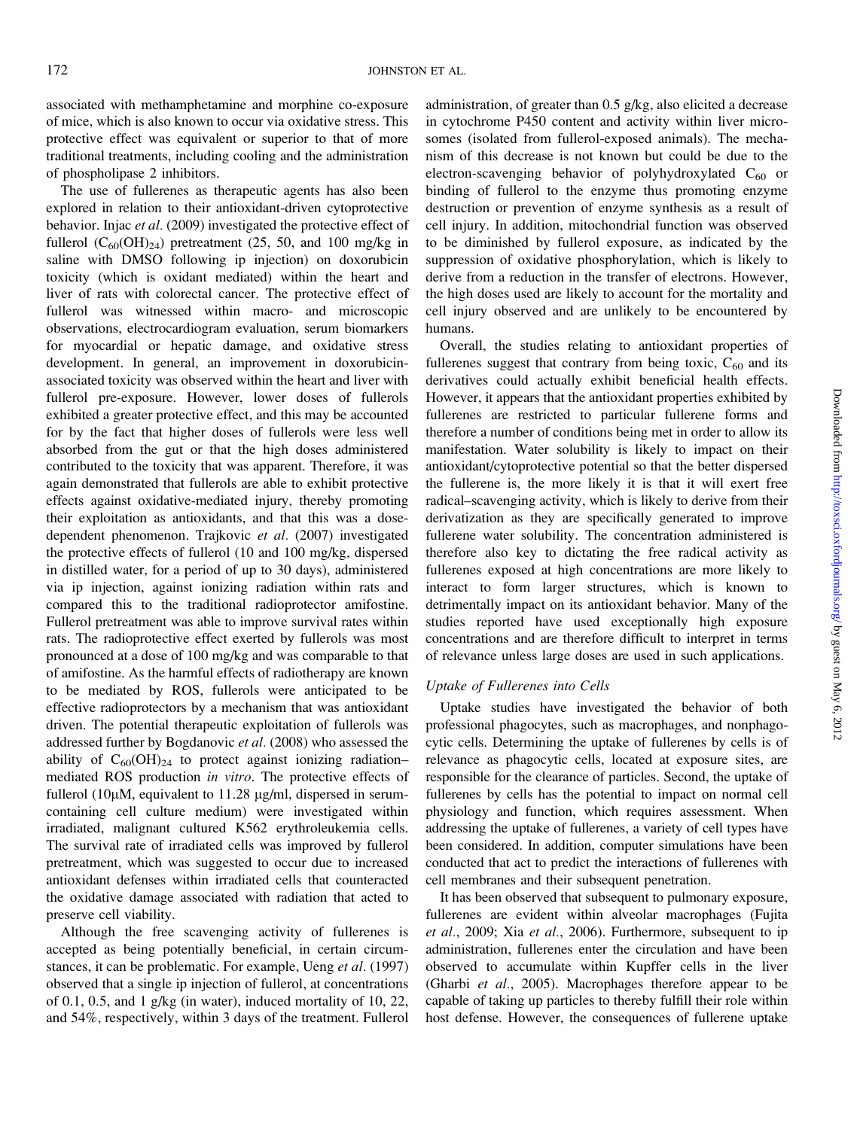associated with methamphetamine and morphine co-exposure of mice, which is also known to occur via oxidative stress. This protective effect was equivalent or superior to that of more traditional treatments, including cooling and the administration of phospholipase 2 inhibitors.

The use of fullerenes as therapeutic agents has also been explored in relation to their antioxidant-driven cytoprotective behavior. Injac et al. (2009) investigated the protective effect of fullerol  $(C_{60}(OH)_{24})$  pretreatment (25, 50, and 100 mg/kg in saline with DMSO following ip injection) on doxorubicin toxicity (which is oxidant mediated) within the heart and liver of rats with colorectal cancer. The protective effect of fullerol was witnessed within macro- and microscopic observations, electrocardiogram evaluation, serum biomarkers for myocardial or hepatic damage, and oxidative stress development. In general, an improvement in doxorubicinassociated toxicity was observed within the heart and liver with fullerol pre-exposure. However, lower doses of fullerols exhibited a greater protective effect, and this may be accounted for by the fact that higher doses of fullerols were less well absorbed from the gut or that the high doses administered contributed to the toxicity that was apparent. Therefore, it was again demonstrated that fullerols are able to exhibit protective effects against oxidative-mediated injury, thereby promoting their exploitation as antioxidants, and that this was a dosedependent phenomenon. Trajkovic et al. (2007) investigated the protective effects of fullerol (10 and 100 mg/kg, dispersed in distilled water, for a period of up to 30 days), administered via ip injection, against ionizing radiation within rats and compared this to the traditional radioprotector amifostine. Fullerol pretreatment was able to improve survival rates within rats. The radioprotective effect exerted by fullerols was most pronounced at a dose of 100 mg/kg and was comparable to that of amifostine. As the harmful effects of radiotherapy are known to be mediated by ROS, fullerols were anticipated to be effective radioprotectors by a mechanism that was antioxidant driven. The potential therapeutic exploitation of fullerols was addressed further by Bogdanovic et al. (2008) who assessed the ability of  $C_{60}(OH)_{24}$  to protect against ionizing radiation– mediated ROS production in vitro. The protective effects of fullerol (10 $\mu$ M, equivalent to 11.28  $\mu$ g/ml, dispersed in serumcontaining cell culture medium) were investigated within irradiated, malignant cultured K562 erythroleukemia cells. The survival rate of irradiated cells was improved by fullerol pretreatment, which was suggested to occur due to increased antioxidant defenses within irradiated cells that counteracted the oxidative damage associated with radiation that acted to preserve cell viability.

Although the free scavenging activity of fullerenes is accepted as being potentially beneficial, in certain circumstances, it can be problematic. For example, Ueng *et al.* (1997) observed that a single ip injection of fullerol, at concentrations of 0.1, 0.5, and 1 g/kg (in water), induced mortality of 10, 22, and 54%, respectively, within 3 days of the treatment. Fullerol administration, of greater than 0.5 g/kg, also elicited a decrease in cytochrome P450 content and activity within liver microsomes (isolated from fullerol-exposed animals). The mechanism of this decrease is not known but could be due to the electron-scavenging behavior of polyhydroxylated  $C_{60}$  or binding of fullerol to the enzyme thus promoting enzyme destruction or prevention of enzyme synthesis as a result of cell injury. In addition, mitochondrial function was observed to be diminished by fullerol exposure, as indicated by the suppression of oxidative phosphorylation, which is likely to derive from a reduction in the transfer of electrons. However, the high doses used are likely to account for the mortality and cell injury observed and are unlikely to be encountered by humans.

Overall, the studies relating to antioxidant properties of fullerenes suggest that contrary from being toxic,  $C_{60}$  and its derivatives could actually exhibit beneficial health effects. However, it appears that the antioxidant properties exhibited by fullerenes are restricted to particular fullerene forms and therefore a number of conditions being met in order to allow its manifestation. Water solubility is likely to impact on their antioxidant/cytoprotective potential so that the better dispersed the fullerene is, the more likely it is that it will exert free radical–scavenging activity, which is likely to derive from their derivatization as they are specifically generated to improve fullerene water solubility. The concentration administered is therefore also key to dictating the free radical activity as fullerenes exposed at high concentrations are more likely to interact to form larger structures, which is known to detrimentally impact on its antioxidant behavior. Many of the studies reported have used exceptionally high exposure concentrations and are therefore difficult to interpret in terms of relevance unless large doses are used in such applications.

# Uptake of Fullerenes into Cells

Uptake studies have investigated the behavior of both professional phagocytes, such as macrophages, and nonphagocytic cells. Determining the uptake of fullerenes by cells is of relevance as phagocytic cells, located at exposure sites, are responsible for the clearance of particles. Second, the uptake of fullerenes by cells has the potential to impact on normal cell physiology and function, which requires assessment. When addressing the uptake of fullerenes, a variety of cell types have been considered. In addition, computer simulations have been conducted that act to predict the interactions of fullerenes with cell membranes and their subsequent penetration.

It has been observed that subsequent to pulmonary exposure, fullerenes are evident within alveolar macrophages (Fujita et al., 2009; Xia et al., 2006). Furthermore, subsequent to ip administration, fullerenes enter the circulation and have been observed to accumulate within Kupffer cells in the liver (Gharbi et al., 2005). Macrophages therefore appear to be capable of taking up particles to thereby fulfill their role within host defense. However, the consequences of fullerene uptake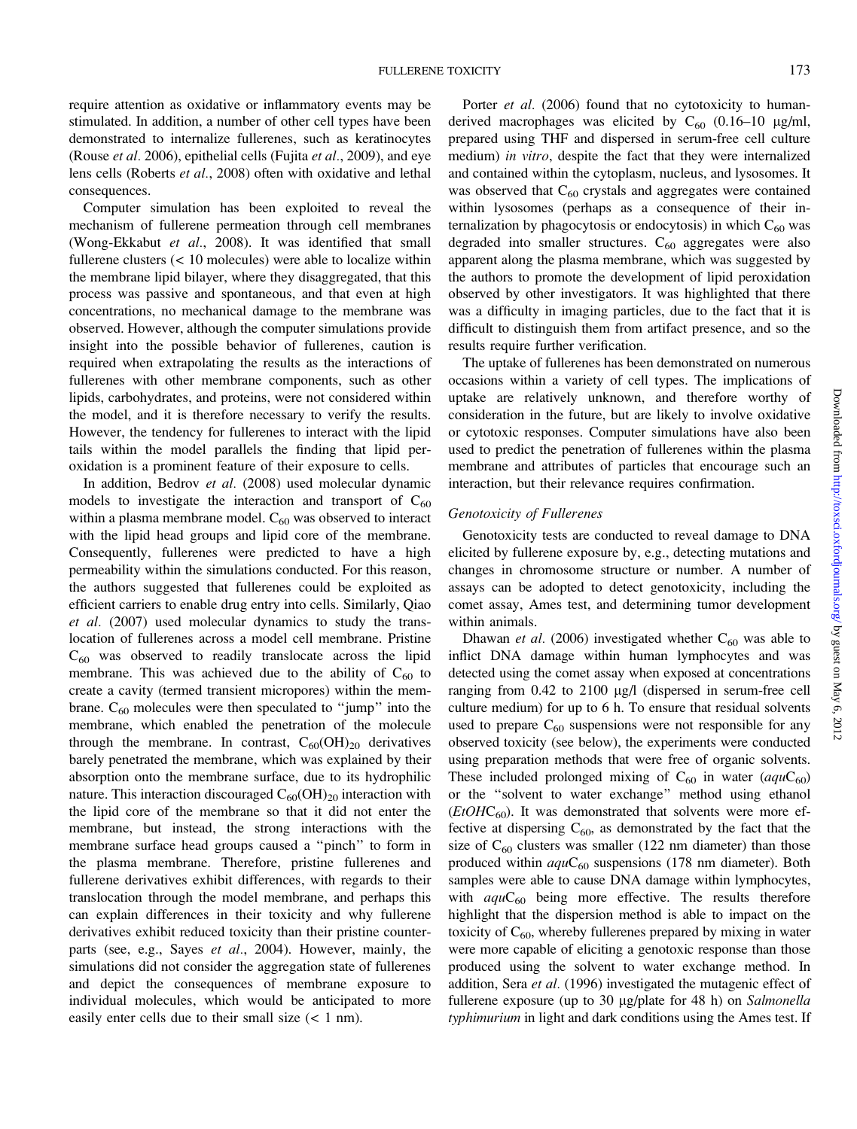require attention as oxidative or inflammatory events may be stimulated. In addition, a number of other cell types have been demonstrated to internalize fullerenes, such as keratinocytes (Rouse et al. 2006), epithelial cells (Fujita et al., 2009), and eye lens cells (Roberts et al., 2008) often with oxidative and lethal consequences.

Computer simulation has been exploited to reveal the mechanism of fullerene permeation through cell membranes (Wong-Ekkabut et al., 2008). It was identified that small fullerene clusters  $(< 10$  molecules) were able to localize within the membrane lipid bilayer, where they disaggregated, that this process was passive and spontaneous, and that even at high concentrations, no mechanical damage to the membrane was observed. However, although the computer simulations provide insight into the possible behavior of fullerenes, caution is required when extrapolating the results as the interactions of fullerenes with other membrane components, such as other lipids, carbohydrates, and proteins, were not considered within the model, and it is therefore necessary to verify the results. However, the tendency for fullerenes to interact with the lipid tails within the model parallels the finding that lipid peroxidation is a prominent feature of their exposure to cells.

In addition, Bedrov et al. (2008) used molecular dynamic models to investigate the interaction and transport of  $C_{60}$ within a plasma membrane model.  $C_{60}$  was observed to interact with the lipid head groups and lipid core of the membrane. Consequently, fullerenes were predicted to have a high permeability within the simulations conducted. For this reason, the authors suggested that fullerenes could be exploited as efficient carriers to enable drug entry into cells. Similarly, Qiao et al. (2007) used molecular dynamics to study the translocation of fullerenes across a model cell membrane. Pristine  $C_{60}$  was observed to readily translocate across the lipid membrane. This was achieved due to the ability of  $C_{60}$  to create a cavity (termed transient micropores) within the membrane.  $C_{60}$  molecules were then speculated to "jump" into the membrane, which enabled the penetration of the molecule through the membrane. In contrast,  $C_{60}(OH)_{20}$  derivatives barely penetrated the membrane, which was explained by their absorption onto the membrane surface, due to its hydrophilic nature. This interaction discouraged  $C_{60}(OH)_{20}$  interaction with the lipid core of the membrane so that it did not enter the membrane, but instead, the strong interactions with the membrane surface head groups caused a ''pinch'' to form in the plasma membrane. Therefore, pristine fullerenes and fullerene derivatives exhibit differences, with regards to their translocation through the model membrane, and perhaps this can explain differences in their toxicity and why fullerene derivatives exhibit reduced toxicity than their pristine counterparts (see, e.g., Sayes et al., 2004). However, mainly, the simulations did not consider the aggregation state of fullerenes and depict the consequences of membrane exposure to individual molecules, which would be anticipated to more easily enter cells due to their small size  $(< 1$  nm).

Porter *et al.* (2006) found that no cytotoxicity to humanderived macrophages was elicited by  $C_{60}$  (0.16–10 µg/ml, prepared using THF and dispersed in serum-free cell culture medium) *in vitro*, despite the fact that they were internalized and contained within the cytoplasm, nucleus, and lysosomes. It was observed that  $C_{60}$  crystals and aggregates were contained within lysosomes (perhaps as a consequence of their internalization by phagocytosis or endocytosis) in which  $C_{60}$  was degraded into smaller structures.  $C_{60}$  aggregates were also apparent along the plasma membrane, which was suggested by the authors to promote the development of lipid peroxidation observed by other investigators. It was highlighted that there was a difficulty in imaging particles, due to the fact that it is difficult to distinguish them from artifact presence, and so the results require further verification.

The uptake of fullerenes has been demonstrated on numerous occasions within a variety of cell types. The implications of uptake are relatively unknown, and therefore worthy of consideration in the future, but are likely to involve oxidative or cytotoxic responses. Computer simulations have also been used to predict the penetration of fullerenes within the plasma membrane and attributes of particles that encourage such an interaction, but their relevance requires confirmation.

### Genotoxicity of Fullerenes

Genotoxicity tests are conducted to reveal damage to DNA elicited by fullerene exposure by, e.g., detecting mutations and changes in chromosome structure or number. A number of assays can be adopted to detect genotoxicity, including the comet assay, Ames test, and determining tumor development within animals.

Dhawan *et al.* (2006) investigated whether  $C_{60}$  was able to inflict DNA damage within human lymphocytes and was detected using the comet assay when exposed at concentrations ranging from  $0.42$  to  $2100 \mu g/l$  (dispersed in serum-free cell culture medium) for up to 6 h. To ensure that residual solvents used to prepare  $C_{60}$  suspensions were not responsible for any observed toxicity (see below), the experiments were conducted using preparation methods that were free of organic solvents. These included prolonged mixing of  $C_{60}$  in water (aquC<sub>60</sub>) or the ''solvent to water exchange'' method using ethanol  $(EtOHC_{60})$ . It was demonstrated that solvents were more effective at dispersing  $C_{60}$ , as demonstrated by the fact that the size of  $C_{60}$  clusters was smaller (122 nm diameter) than those produced within  $aquC_{60}$  suspensions (178 nm diameter). Both samples were able to cause DNA damage within lymphocytes, with  $aquC_{60}$  being more effective. The results therefore highlight that the dispersion method is able to impact on the toxicity of  $C_{60}$ , whereby fullerenes prepared by mixing in water were more capable of eliciting a genotoxic response than those produced using the solvent to water exchange method. In addition, Sera et al. (1996) investigated the mutagenic effect of fullerene exposure (up to 30  $\mu$ g/plate for 48 h) on Salmonella typhimurium in light and dark conditions using the Ames test. If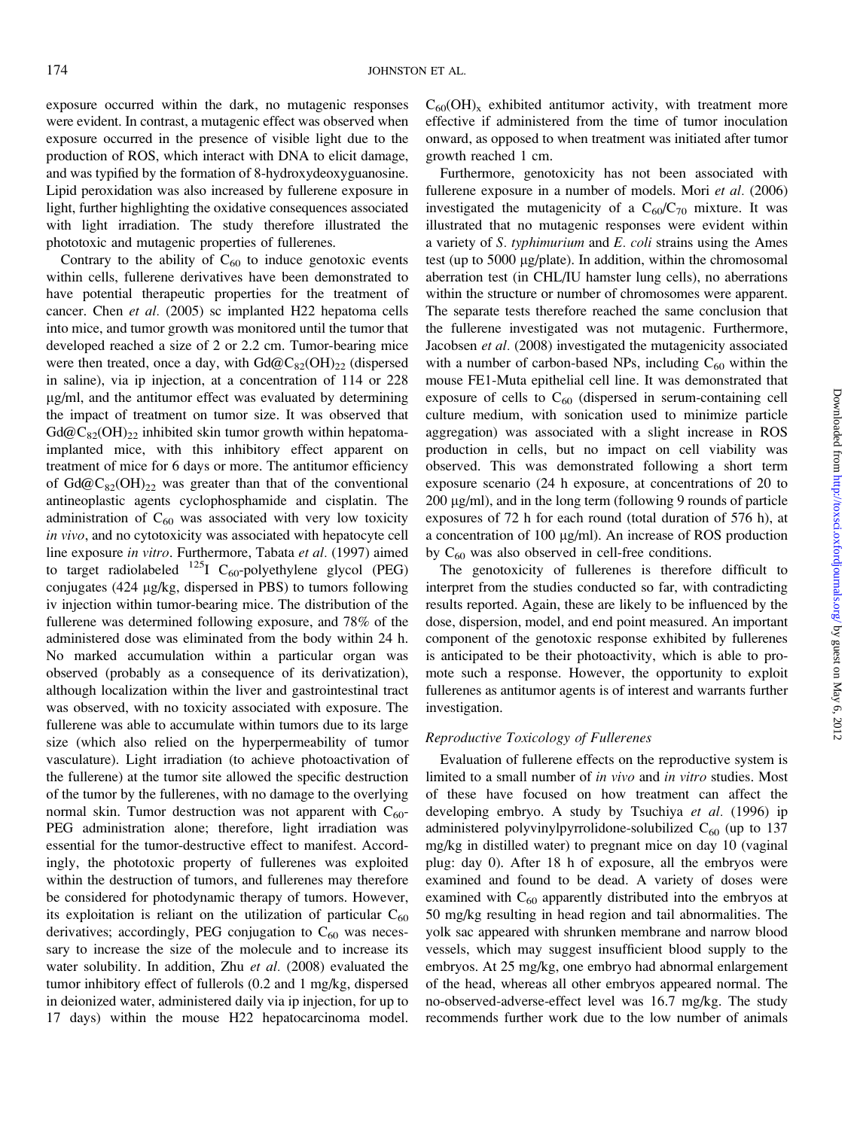exposure occurred within the dark, no mutagenic responses were evident. In contrast, a mutagenic effect was observed when exposure occurred in the presence of visible light due to the production of ROS, which interact with DNA to elicit damage, and was typified by the formation of 8-hydroxydeoxyguanosine. Lipid peroxidation was also increased by fullerene exposure in light, further highlighting the oxidative consequences associated with light irradiation. The study therefore illustrated the phototoxic and mutagenic properties of fullerenes.

Contrary to the ability of  $C_{60}$  to induce genotoxic events within cells, fullerene derivatives have been demonstrated to have potential therapeutic properties for the treatment of cancer. Chen et al. (2005) sc implanted H22 hepatoma cells into mice, and tumor growth was monitored until the tumor that developed reached a size of 2 or 2.2 cm. Tumor-bearing mice were then treated, once a day, with  $Gd\omega C_{82}(OH)_{22}$  (dispersed in saline), via ip injection, at a concentration of 114 or 228 lg/ml, and the antitumor effect was evaluated by determining the impact of treatment on tumor size. It was observed that  $Gd@C_{82}(OH)_{22}$  inhibited skin tumor growth within hepatomaimplanted mice, with this inhibitory effect apparent on treatment of mice for 6 days or more. The antitumor efficiency of  $Gd@C_{82}(OH)_{22}$  was greater than that of the conventional antineoplastic agents cyclophosphamide and cisplatin. The administration of  $C_{60}$  was associated with very low toxicity in vivo, and no cytotoxicity was associated with hepatocyte cell line exposure in vitro. Furthermore, Tabata et al. (1997) aimed to target radiolabeled  $^{125}$ I C<sub>60</sub>-polyethylene glycol (PEG) conjugates (424 µg/kg, dispersed in PBS) to tumors following iv injection within tumor-bearing mice. The distribution of the fullerene was determined following exposure, and 78% of the administered dose was eliminated from the body within 24 h. No marked accumulation within a particular organ was observed (probably as a consequence of its derivatization), although localization within the liver and gastrointestinal tract was observed, with no toxicity associated with exposure. The fullerene was able to accumulate within tumors due to its large size (which also relied on the hyperpermeability of tumor vasculature). Light irradiation (to achieve photoactivation of the fullerene) at the tumor site allowed the specific destruction of the tumor by the fullerenes, with no damage to the overlying normal skin. Tumor destruction was not apparent with  $C_{60}$ -PEG administration alone; therefore, light irradiation was essential for the tumor-destructive effect to manifest. Accordingly, the phototoxic property of fullerenes was exploited within the destruction of tumors, and fullerenes may therefore be considered for photodynamic therapy of tumors. However, its exploitation is reliant on the utilization of particular  $C_{60}$ derivatives; accordingly, PEG conjugation to  $C_{60}$  was necessary to increase the size of the molecule and to increase its water solubility. In addition, Zhu *et al.* (2008) evaluated the tumor inhibitory effect of fullerols (0.2 and 1 mg/kg, dispersed in deionized water, administered daily via ip injection, for up to 17 days) within the mouse H22 hepatocarcinoma model.

 $C_{60}(OH)_{x}$  exhibited antitumor activity, with treatment more effective if administered from the time of tumor inoculation onward, as opposed to when treatment was initiated after tumor growth reached 1 cm.

Furthermore, genotoxicity has not been associated with fullerene exposure in a number of models. Mori *et al.* (2006) investigated the mutagenicity of a  $C_{60}/C_{70}$  mixture. It was illustrated that no mutagenic responses were evident within a variety of S. typhimurium and E. coli strains using the Ames test (up to 5000 µg/plate). In addition, within the chromosomal aberration test (in CHL/IU hamster lung cells), no aberrations within the structure or number of chromosomes were apparent. The separate tests therefore reached the same conclusion that the fullerene investigated was not mutagenic. Furthermore, Jacobsen et al. (2008) investigated the mutagenicity associated with a number of carbon-based NPs, including  $C_{60}$  within the mouse FE1-Muta epithelial cell line. It was demonstrated that exposure of cells to  $C_{60}$  (dispersed in serum-containing cell culture medium, with sonication used to minimize particle aggregation) was associated with a slight increase in ROS production in cells, but no impact on cell viability was observed. This was demonstrated following a short term exposure scenario (24 h exposure, at concentrations of 20 to 200 lg/ml), and in the long term (following 9 rounds of particle exposures of 72 h for each round (total duration of 576 h), at a concentration of 100  $\mu$ g/ml). An increase of ROS production by  $C_{60}$  was also observed in cell-free conditions.

The genotoxicity of fullerenes is therefore difficult to interpret from the studies conducted so far, with contradicting results reported. Again, these are likely to be influenced by the dose, dispersion, model, and end point measured. An important component of the genotoxic response exhibited by fullerenes is anticipated to be their photoactivity, which is able to promote such a response. However, the opportunity to exploit fullerenes as antitumor agents is of interest and warrants further investigation.

# Reproductive Toxicology of Fullerenes

Evaluation of fullerene effects on the reproductive system is limited to a small number of in vivo and in vitro studies. Most of these have focused on how treatment can affect the developing embryo. A study by Tsuchiya et al. (1996) ip administered polyvinylpyrrolidone-solubilized  $C_{60}$  (up to 137 mg/kg in distilled water) to pregnant mice on day 10 (vaginal plug: day 0). After 18 h of exposure, all the embryos were examined and found to be dead. A variety of doses were examined with  $C_{60}$  apparently distributed into the embryos at 50 mg/kg resulting in head region and tail abnormalities. The yolk sac appeared with shrunken membrane and narrow blood vessels, which may suggest insufficient blood supply to the embryos. At 25 mg/kg, one embryo had abnormal enlargement of the head, whereas all other embryos appeared normal. The no-observed-adverse-effect level was 16.7 mg/kg. The study recommends further work due to the low number of animals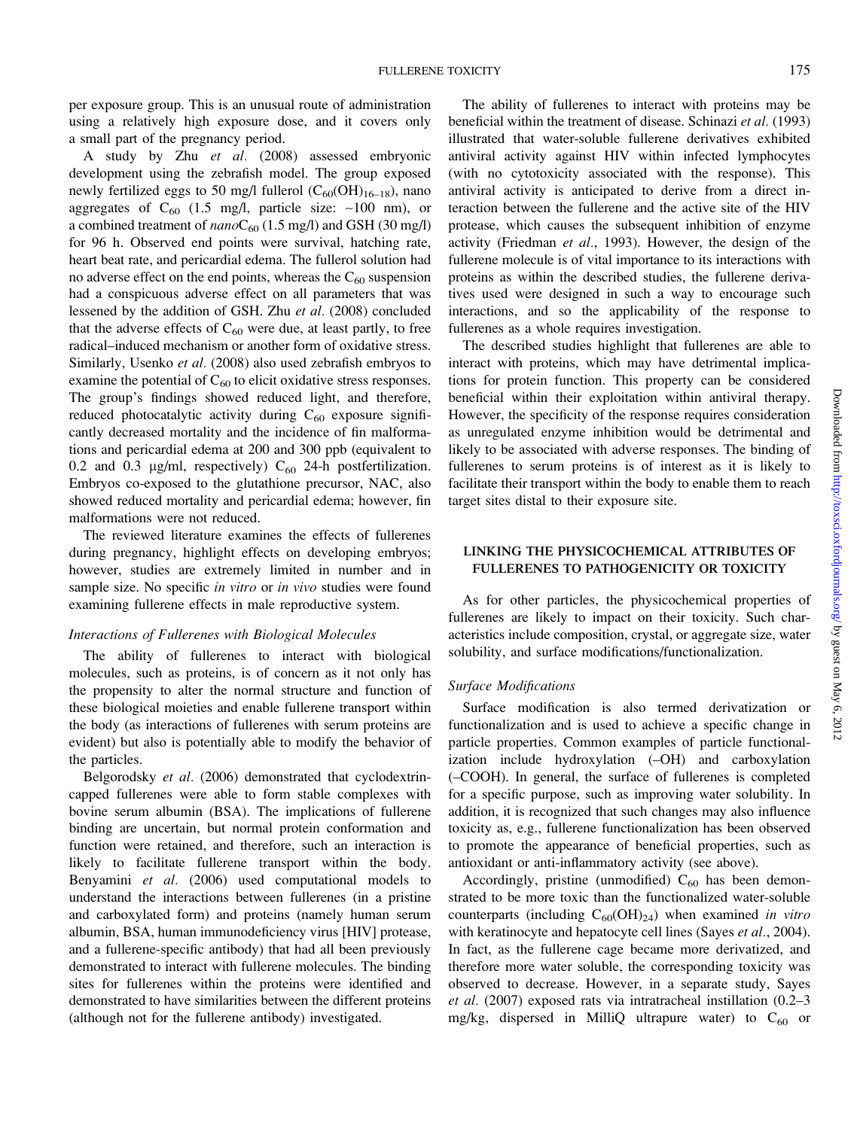per exposure group. This is an unusual route of administration using a relatively high exposure dose, and it covers only a small part of the pregnancy period.

A study by Zhu et al. (2008) assessed embryonic development using the zebrafish model. The group exposed newly fertilized eggs to 50 mg/l fullerol  $(C_{60}(OH)_{16-18})$ , nano aggregates of  $C_{60}$  (1.5 mg/l, particle size: ~100 nm), or a combined treatment of  $nanoC_{60}$  (1.5 mg/l) and GSH (30 mg/l) for 96 h. Observed end points were survival, hatching rate, heart beat rate, and pericardial edema. The fullerol solution had no adverse effect on the end points, whereas the  $C_{60}$  suspension had a conspicuous adverse effect on all parameters that was lessened by the addition of GSH. Zhu et al. (2008) concluded that the adverse effects of  $C_{60}$  were due, at least partly, to free radical–induced mechanism or another form of oxidative stress. Similarly, Usenko et al. (2008) also used zebrafish embryos to examine the potential of  $C_{60}$  to elicit oxidative stress responses. The group's findings showed reduced light, and therefore, reduced photocatalytic activity during  $C_{60}$  exposure significantly decreased mortality and the incidence of fin malformations and pericardial edema at 200 and 300 ppb (equivalent to 0.2 and 0.3  $\mu$ g/ml, respectively) C<sub>60</sub> 24-h postfertilization. Embryos co-exposed to the glutathione precursor, NAC, also showed reduced mortality and pericardial edema; however, fin malformations were not reduced.

The reviewed literature examines the effects of fullerenes during pregnancy, highlight effects on developing embryos; however, studies are extremely limited in number and in sample size. No specific in vitro or in vivo studies were found examining fullerene effects in male reproductive system.

### Interactions of Fullerenes with Biological Molecules

The ability of fullerenes to interact with biological molecules, such as proteins, is of concern as it not only has the propensity to alter the normal structure and function of these biological moieties and enable fullerene transport within the body (as interactions of fullerenes with serum proteins are evident) but also is potentially able to modify the behavior of the particles.

Belgorodsky et al. (2006) demonstrated that cyclodextrincapped fullerenes were able to form stable complexes with bovine serum albumin (BSA). The implications of fullerene binding are uncertain, but normal protein conformation and function were retained, and therefore, such an interaction is likely to facilitate fullerene transport within the body. Benyamini et al. (2006) used computational models to understand the interactions between fullerenes (in a pristine and carboxylated form) and proteins (namely human serum albumin, BSA, human immunodeficiency virus [HIV] protease, and a fullerene-specific antibody) that had all been previously demonstrated to interact with fullerene molecules. The binding sites for fullerenes within the proteins were identified and demonstrated to have similarities between the different proteins (although not for the fullerene antibody) investigated.

The ability of fullerenes to interact with proteins may be beneficial within the treatment of disease. Schinazi et al. (1993) illustrated that water-soluble fullerene derivatives exhibited antiviral activity against HIV within infected lymphocytes (with no cytotoxicity associated with the response). This antiviral activity is anticipated to derive from a direct interaction between the fullerene and the active site of the HIV protease, which causes the subsequent inhibition of enzyme activity (Friedman et al., 1993). However, the design of the fullerene molecule is of vital importance to its interactions with proteins as within the described studies, the fullerene derivatives used were designed in such a way to encourage such interactions, and so the applicability of the response to fullerenes as a whole requires investigation.

The described studies highlight that fullerenes are able to interact with proteins, which may have detrimental implications for protein function. This property can be considered beneficial within their exploitation within antiviral therapy. However, the specificity of the response requires consideration as unregulated enzyme inhibition would be detrimental and likely to be associated with adverse responses. The binding of fullerenes to serum proteins is of interest as it is likely to facilitate their transport within the body to enable them to reach target sites distal to their exposure site.

# LINKING THE PHYSICOCHEMICAL ATTRIBUTES OF FULLERENES TO PATHOGENICITY OR TOXICITY

As for other particles, the physicochemical properties of fullerenes are likely to impact on their toxicity. Such characteristics include composition, crystal, or aggregate size, water solubility, and surface modifications/functionalization.

# Surface Modifications

Surface modification is also termed derivatization or functionalization and is used to achieve a specific change in particle properties. Common examples of particle functionalization include hydroxylation (–OH) and carboxylation (–COOH). In general, the surface of fullerenes is completed for a specific purpose, such as improving water solubility. In addition, it is recognized that such changes may also influence toxicity as, e.g., fullerene functionalization has been observed to promote the appearance of beneficial properties, such as antioxidant or anti-inflammatory activity (see above).

Accordingly, pristine (unmodified)  $C_{60}$  has been demonstrated to be more toxic than the functionalized water-soluble counterparts (including  $C_{60}(OH)_{24}$ ) when examined in vitro with keratinocyte and hepatocyte cell lines (Sayes et al., 2004). In fact, as the fullerene cage became more derivatized, and therefore more water soluble, the corresponding toxicity was observed to decrease. However, in a separate study, Sayes et al. (2007) exposed rats via intratracheal instillation (0.2–3 mg/kg, dispersed in MilliQ ultrapure water) to  $C_{60}$  or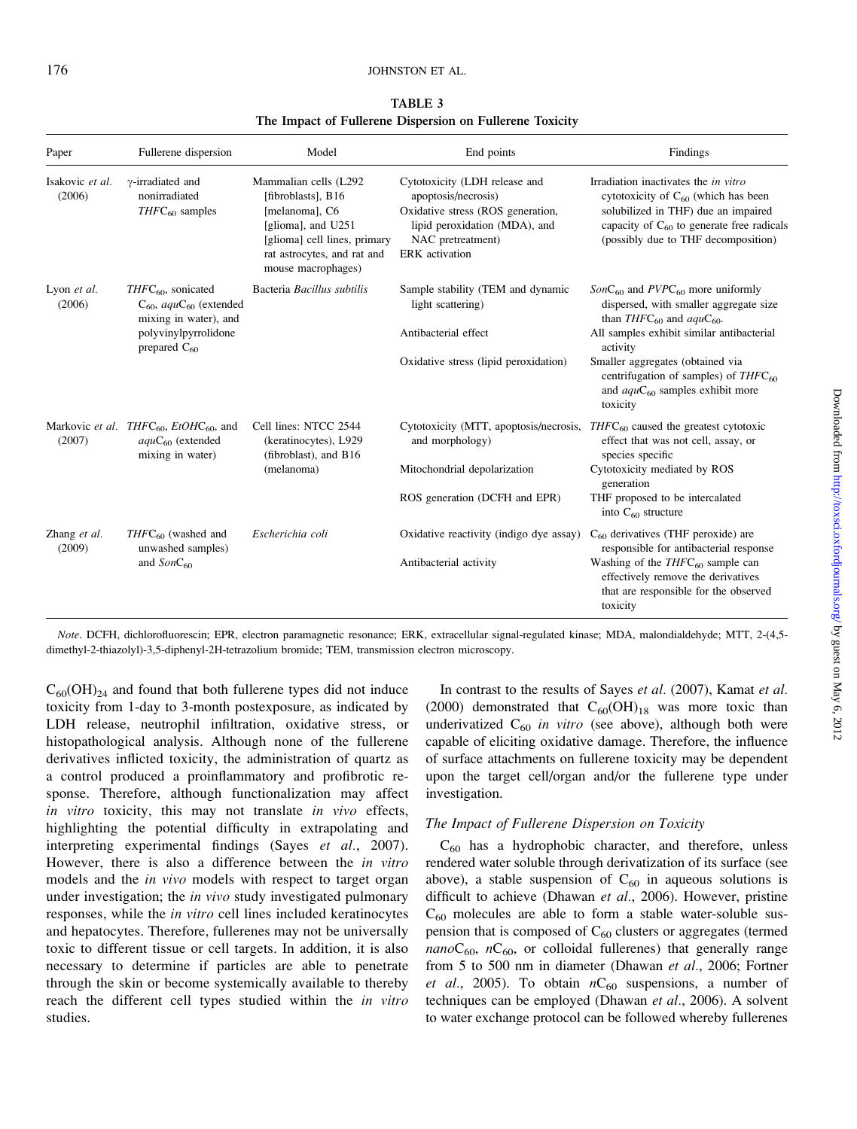### 176 JOHNSTON ET AL.

TABLE 3 The Impact of Fullerene Dispersion on Fullerene Toxicity

| Paper                     | Fullerene dispersion                                                                                            | Model                                                                                                                                                                     | End points                                                                                                                                                        | Findings                                                                                                                                                                                                                |
|---------------------------|-----------------------------------------------------------------------------------------------------------------|---------------------------------------------------------------------------------------------------------------------------------------------------------------------------|-------------------------------------------------------------------------------------------------------------------------------------------------------------------|-------------------------------------------------------------------------------------------------------------------------------------------------------------------------------------------------------------------------|
| Isakovic et al.<br>(2006) | $\gamma$ -irradiated and<br>nonirradiated<br>$THFC_{60}$ samples                                                | Mammalian cells (L292)<br>[fibroblasts], B16<br>[melanoma], C6<br>[glioma], and U251<br>[glioma] cell lines, primary<br>rat astrocytes, and rat and<br>mouse macrophages) | Cytotoxicity (LDH release and<br>apoptosis/necrosis)<br>Oxidative stress (ROS generation,<br>lipid peroxidation (MDA), and<br>NAC pretreatment)<br>ERK activation | Irradiation inactivates the <i>in vitro</i><br>cytotoxicity of $C_{60}$ (which has been<br>solubilized in THF) due an impaired<br>capacity of $C_{60}$ to generate free radicals<br>(possibly due to THF decomposition) |
| Lyon et al.<br>(2006)     | $THFC60$ , sonicated<br>$C_{60}$ , aqu $C_{60}$ (extended<br>mixing in water), and<br>polyvinylpyrrolidone      | Bacteria Bacillus subtilis                                                                                                                                                | Sample stability (TEM and dynamic<br>light scattering)<br>Antibacterial effect                                                                                    | $SonC_{60}$ and $PVPC_{60}$ more uniformly<br>dispersed, with smaller aggregate size<br>than $THFC_{60}$ and $aquC_{60}$ .<br>All samples exhibit similar antibacterial                                                 |
|                           | prepared $C_{60}$                                                                                               |                                                                                                                                                                           |                                                                                                                                                                   | activity                                                                                                                                                                                                                |
|                           |                                                                                                                 |                                                                                                                                                                           | Oxidative stress (lipid peroxidation)                                                                                                                             | Smaller aggregates (obtained via<br>centrifugation of samples) of $THFC_{60}$<br>and $aquC_{60}$ samples exhibit more<br>toxicity                                                                                       |
| (2007)                    | Markovic <i>et al.</i> THFC <sub>60</sub> , EtOHC <sub>60</sub> , and<br>$aquC60$ (extended<br>mixing in water) | Cell lines: NTCC 2544<br>(keratinocytes), L929<br>(fibroblast), and B16<br>(melanoma)                                                                                     | Cytotoxicity (MTT, apoptosis/necrosis, $THFC_{60}$ caused the greatest cytotoxic<br>and morphology)                                                               | effect that was not cell, assay, or<br>species specific                                                                                                                                                                 |
|                           |                                                                                                                 |                                                                                                                                                                           | Mitochondrial depolarization                                                                                                                                      | Cytotoxicity mediated by ROS<br>generation                                                                                                                                                                              |
|                           |                                                                                                                 |                                                                                                                                                                           | ROS generation (DCFH and EPR)                                                                                                                                     | THF proposed to be intercalated<br>into $C_{60}$ structure                                                                                                                                                              |
| Zhang et al.<br>(2009)    | $THFC60$ (washed and<br>unwashed samples)<br>and $SonC_{60}$                                                    | Escherichia coli                                                                                                                                                          | Oxidative reactivity (indigo dye assay)                                                                                                                           | $C_{60}$ derivatives (THF peroxide) are<br>responsible for antibacterial response                                                                                                                                       |
|                           |                                                                                                                 |                                                                                                                                                                           | Antibacterial activity                                                                                                                                            | Washing of the $THFC_{60}$ sample can<br>effectively remove the derivatives<br>that are responsible for the observed<br>toxicity                                                                                        |

Note. DCFH, dichlorofluorescin; EPR, electron paramagnetic resonance; ERK, extracellular signal-regulated kinase; MDA, malondialdehyde; MTT, 2-(4,5 dimethyl-2-thiazolyl)-3,5-diphenyl-2H-tetrazolium bromide; TEM, transmission electron microscopy.

 $C_{60}(OH)_{24}$  and found that both fullerene types did not induce toxicity from 1-day to 3-month postexposure, as indicated by LDH release, neutrophil infiltration, oxidative stress, or histopathological analysis. Although none of the fullerene derivatives inflicted toxicity, the administration of quartz as a control produced a proinflammatory and profibrotic response. Therefore, although functionalization may affect in vitro toxicity, this may not translate in vivo effects, highlighting the potential difficulty in extrapolating and interpreting experimental findings (Sayes et al., 2007). However, there is also a difference between the *in vitro* models and the *in vivo* models with respect to target organ under investigation; the in vivo study investigated pulmonary responses, while the in vitro cell lines included keratinocytes and hepatocytes. Therefore, fullerenes may not be universally toxic to different tissue or cell targets. In addition, it is also necessary to determine if particles are able to penetrate through the skin or become systemically available to thereby reach the different cell types studied within the in vitro studies.

In contrast to the results of Sayes et al. (2007), Kamat et al. (2000) demonstrated that  $C_{60}(OH)_{18}$  was more toxic than underivatized  $C_{60}$  in vitro (see above), although both were capable of eliciting oxidative damage. Therefore, the influence of surface attachments on fullerene toxicity may be dependent upon the target cell/organ and/or the fullerene type under investigation.

# The Impact of Fullerene Dispersion on Toxicity

 $C_{60}$  has a hydrophobic character, and therefore, unless rendered water soluble through derivatization of its surface (see above), a stable suspension of  $C_{60}$  in aqueous solutions is difficult to achieve (Dhawan et al., 2006). However, pristine  $C_{60}$  molecules are able to form a stable water-soluble suspension that is composed of  $C_{60}$  clusters or aggregates (termed  $nanoC<sub>60</sub>$ ,  $nC<sub>60</sub>$ , or colloidal fullerenes) that generally range from 5 to 500 nm in diameter (Dhawan et al., 2006; Fortner et al., 2005). To obtain  $nC_{60}$  suspensions, a number of techniques can be employed (Dhawan et al., 2006). A solvent to water exchange protocol can be followed whereby fullerenes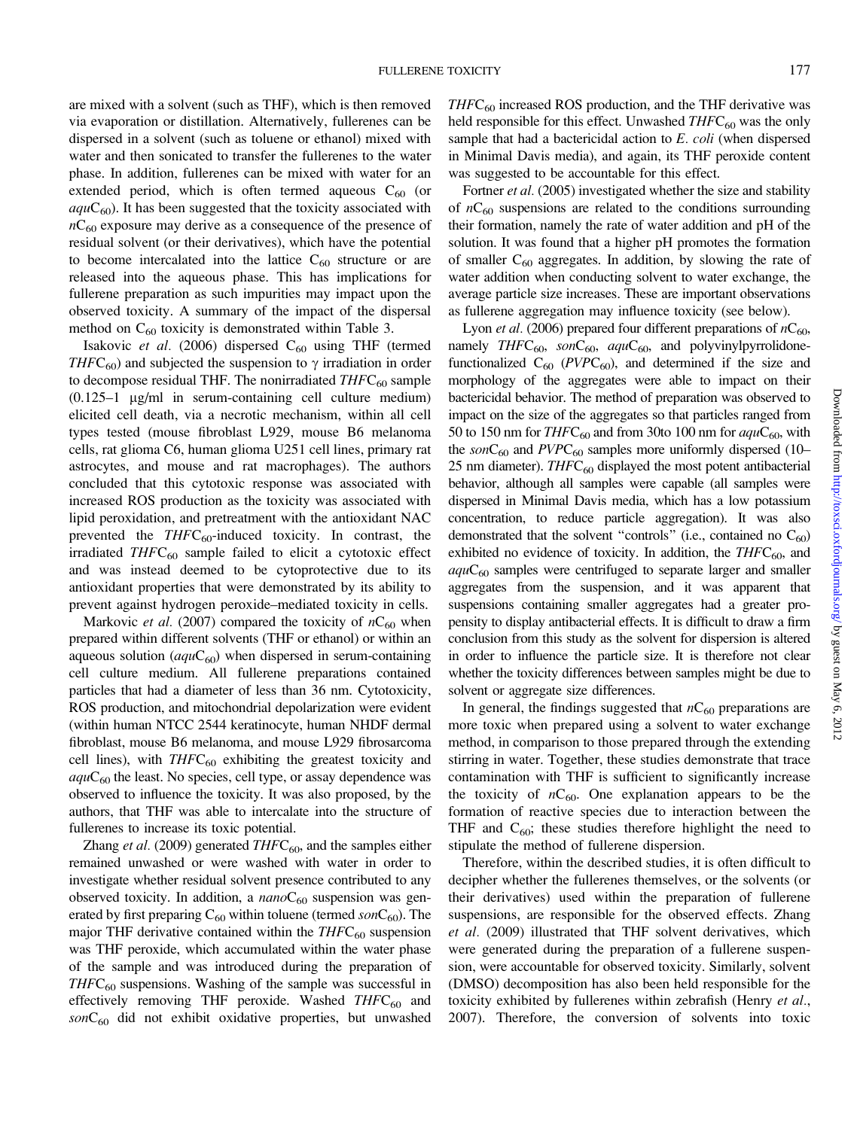are mixed with a solvent (such as THF), which is then removed via evaporation or distillation. Alternatively, fullerenes can be dispersed in a solvent (such as toluene or ethanol) mixed with water and then sonicated to transfer the fullerenes to the water phase. In addition, fullerenes can be mixed with water for an extended period, which is often termed aqueous  $C_{60}$  (or  $aquC_{60}$ ). It has been suggested that the toxicity associated with  $nC_{60}$  exposure may derive as a consequence of the presence of residual solvent (or their derivatives), which have the potential to become intercalated into the lattice  $C_{60}$  structure or are released into the aqueous phase. This has implications for fullerene preparation as such impurities may impact upon the observed toxicity. A summary of the impact of the dispersal method on  $C_{60}$  toxicity is demonstrated within Table 3.

Isakovic et al. (2006) dispersed  $C_{60}$  using THF (termed  $THFC_{60}$ ) and subjected the suspension to  $\gamma$  irradiation in order to decompose residual THF. The nonirradiated  $THFC_{60}$  sample  $(0.125-1 \text{ µg/ml} \text{in} \text{serum-containing cell culture medium})$ elicited cell death, via a necrotic mechanism, within all cell types tested (mouse fibroblast L929, mouse B6 melanoma cells, rat glioma C6, human glioma U251 cell lines, primary rat astrocytes, and mouse and rat macrophages). The authors concluded that this cytotoxic response was associated with increased ROS production as the toxicity was associated with lipid peroxidation, and pretreatment with the antioxidant NAC prevented the  $THFC_{60}$ -induced toxicity. In contrast, the irradiated  $THFC_{60}$  sample failed to elicit a cytotoxic effect and was instead deemed to be cytoprotective due to its antioxidant properties that were demonstrated by its ability to prevent against hydrogen peroxide–mediated toxicity in cells.

Markovic et al. (2007) compared the toxicity of  $nC_{60}$  when prepared within different solvents (THF or ethanol) or within an aqueous solution ( $aquC_{60}$ ) when dispersed in serum-containing cell culture medium. All fullerene preparations contained particles that had a diameter of less than 36 nm. Cytotoxicity, ROS production, and mitochondrial depolarization were evident (within human NTCC 2544 keratinocyte, human NHDF dermal fibroblast, mouse B6 melanoma, and mouse L929 fibrosarcoma cell lines), with  $THFC_{60}$  exhibiting the greatest toxicity and  $aquC<sub>60</sub>$  the least. No species, cell type, or assay dependence was observed to influence the toxicity. It was also proposed, by the authors, that THF was able to intercalate into the structure of fullerenes to increase its toxic potential.

Zhang et al. (2009) generated  $THFC_{60}$ , and the samples either remained unwashed or were washed with water in order to investigate whether residual solvent presence contributed to any observed toxicity. In addition, a  $nanoC_{60}$  suspension was generated by first preparing  $C_{60}$  within toluene (termed son $C_{60}$ ). The major THF derivative contained within the  $THFC_{60}$  suspension was THF peroxide, which accumulated within the water phase of the sample and was introduced during the preparation of  $THFC_{60}$  suspensions. Washing of the sample was successful in effectively removing THF peroxide. Washed  $THFC_{60}$  and  $\text{sonC}_{60}$  did not exhibit oxidative properties, but unwashed

 $THFC_{60}$  increased ROS production, and the THF derivative was held responsible for this effect. Unwashed  $THFC_{60}$  was the only sample that had a bactericidal action to E. coli (when dispersed in Minimal Davis media), and again, its THF peroxide content was suggested to be accountable for this effect.

Fortner *et al.* (2005) investigated whether the size and stability of  $nC_{60}$  suspensions are related to the conditions surrounding their formation, namely the rate of water addition and pH of the solution. It was found that a higher pH promotes the formation of smaller  $C_{60}$  aggregates. In addition, by slowing the rate of water addition when conducting solvent to water exchange, the average particle size increases. These are important observations as fullerene aggregation may influence toxicity (see below).

Lyon et al. (2006) prepared four different preparations of  $nC_{60}$ , namely  $THFC_{60}$ , sonC<sub>60</sub>, aquC<sub>60</sub>, and polyvinylpyrrolidonefunctionalized  $C_{60}$  (PVPC<sub>60</sub>), and determined if the size and morphology of the aggregates were able to impact on their bactericidal behavior. The method of preparation was observed to impact on the size of the aggregates so that particles ranged from 50 to 150 nm for  $THFC_{60}$  and from 30to 100 nm for  $aquC_{60}$ , with the sonC<sub>60</sub> and  $PVPC_{60}$  samples more uniformly dispersed (10– 25 nm diameter).  $THFC_{60}$  displayed the most potent antibacterial behavior, although all samples were capable (all samples were dispersed in Minimal Davis media, which has a low potassium concentration, to reduce particle aggregation). It was also demonstrated that the solvent "controls" (i.e., contained no  $C_{60}$ ) exhibited no evidence of toxicity. In addition, the  $THFC_{60}$ , and  $aquC<sub>60</sub>$  samples were centrifuged to separate larger and smaller aggregates from the suspension, and it was apparent that suspensions containing smaller aggregates had a greater propensity to display antibacterial effects. It is difficult to draw a firm conclusion from this study as the solvent for dispersion is altered in order to influence the particle size. It is therefore not clear whether the toxicity differences between samples might be due to solvent or aggregate size differences.

In general, the findings suggested that  $nC_{60}$  preparations are more toxic when prepared using a solvent to water exchange method, in comparison to those prepared through the extending stirring in water. Together, these studies demonstrate that trace contamination with THF is sufficient to significantly increase the toxicity of  $nC_{60}$ . One explanation appears to be the formation of reactive species due to interaction between the THF and  $C_{60}$ ; these studies therefore highlight the need to stipulate the method of fullerene dispersion.

Therefore, within the described studies, it is often difficult to decipher whether the fullerenes themselves, or the solvents (or their derivatives) used within the preparation of fullerene suspensions, are responsible for the observed effects. Zhang et al. (2009) illustrated that THF solvent derivatives, which were generated during the preparation of a fullerene suspension, were accountable for observed toxicity. Similarly, solvent (DMSO) decomposition has also been held responsible for the toxicity exhibited by fullerenes within zebrafish (Henry et al., 2007). Therefore, the conversion of solvents into toxic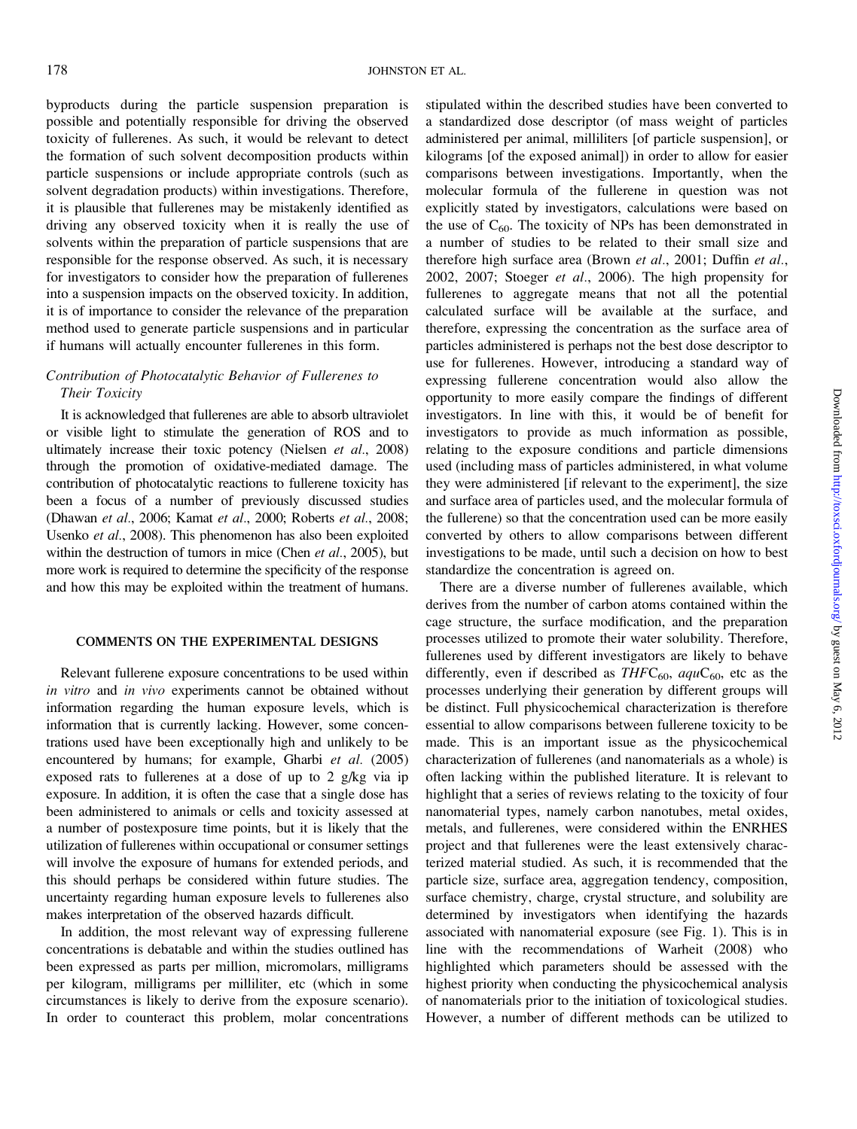byproducts during the particle suspension preparation is possible and potentially responsible for driving the observed toxicity of fullerenes. As such, it would be relevant to detect the formation of such solvent decomposition products within particle suspensions or include appropriate controls (such as solvent degradation products) within investigations. Therefore, it is plausible that fullerenes may be mistakenly identified as driving any observed toxicity when it is really the use of solvents within the preparation of particle suspensions that are responsible for the response observed. As such, it is necessary for investigators to consider how the preparation of fullerenes into a suspension impacts on the observed toxicity. In addition, it is of importance to consider the relevance of the preparation method used to generate particle suspensions and in particular if humans will actually encounter fullerenes in this form.

# Contribution of Photocatalytic Behavior of Fullerenes to Their Toxicity

It is acknowledged that fullerenes are able to absorb ultraviolet or visible light to stimulate the generation of ROS and to ultimately increase their toxic potency (Nielsen et al., 2008) through the promotion of oxidative-mediated damage. The contribution of photocatalytic reactions to fullerene toxicity has been a focus of a number of previously discussed studies (Dhawan et al., 2006; Kamat et al., 2000; Roberts et al., 2008; Usenko et al., 2008). This phenomenon has also been exploited within the destruction of tumors in mice (Chen *et al.*, 2005), but more work is required to determine the specificity of the response and how this may be exploited within the treatment of humans.

### COMMENTS ON THE EXPERIMENTAL DESIGNS

Relevant fullerene exposure concentrations to be used within in vitro and in vivo experiments cannot be obtained without information regarding the human exposure levels, which is information that is currently lacking. However, some concentrations used have been exceptionally high and unlikely to be encountered by humans; for example, Gharbi et al. (2005) exposed rats to fullerenes at a dose of up to 2 g/kg via ip exposure. In addition, it is often the case that a single dose has been administered to animals or cells and toxicity assessed at a number of postexposure time points, but it is likely that the utilization of fullerenes within occupational or consumer settings will involve the exposure of humans for extended periods, and this should perhaps be considered within future studies. The uncertainty regarding human exposure levels to fullerenes also makes interpretation of the observed hazards difficult.

In addition, the most relevant way of expressing fullerene concentrations is debatable and within the studies outlined has been expressed as parts per million, micromolars, milligrams per kilogram, milligrams per milliliter, etc (which in some circumstances is likely to derive from the exposure scenario). In order to counteract this problem, molar concentrations stipulated within the described studies have been converted to a standardized dose descriptor (of mass weight of particles administered per animal, milliliters [of particle suspension], or kilograms [of the exposed animal]) in order to allow for easier comparisons between investigations. Importantly, when the molecular formula of the fullerene in question was not explicitly stated by investigators, calculations were based on the use of  $C_{60}$ . The toxicity of NPs has been demonstrated in a number of studies to be related to their small size and therefore high surface area (Brown et al., 2001; Duffin et al., 2002, 2007; Stoeger et al., 2006). The high propensity for fullerenes to aggregate means that not all the potential calculated surface will be available at the surface, and therefore, expressing the concentration as the surface area of particles administered is perhaps not the best dose descriptor to use for fullerenes. However, introducing a standard way of expressing fullerene concentration would also allow the opportunity to more easily compare the findings of different investigators. In line with this, it would be of benefit for investigators to provide as much information as possible, relating to the exposure conditions and particle dimensions used (including mass of particles administered, in what volume they were administered [if relevant to the experiment], the size and surface area of particles used, and the molecular formula of the fullerene) so that the concentration used can be more easily converted by others to allow comparisons between different investigations to be made, until such a decision on how to best standardize the concentration is agreed on.

There are a diverse number of fullerenes available, which derives from the number of carbon atoms contained within the cage structure, the surface modification, and the preparation processes utilized to promote their water solubility. Therefore, fullerenes used by different investigators are likely to behave differently, even if described as  $THFC_{60}$ ,  $aquC_{60}$ , etc as the processes underlying their generation by different groups will be distinct. Full physicochemical characterization is therefore essential to allow comparisons between fullerene toxicity to be made. This is an important issue as the physicochemical characterization of fullerenes (and nanomaterials as a whole) is often lacking within the published literature. It is relevant to highlight that a series of reviews relating to the toxicity of four nanomaterial types, namely carbon nanotubes, metal oxides, metals, and fullerenes, were considered within the ENRHES project and that fullerenes were the least extensively characterized material studied. As such, it is recommended that the particle size, surface area, aggregation tendency, composition, surface chemistry, charge, crystal structure, and solubility are determined by investigators when identifying the hazards associated with nanomaterial exposure (see Fig. 1). This is in line with the recommendations of Warheit (2008) who highlighted which parameters should be assessed with the highest priority when conducting the physicochemical analysis of nanomaterials prior to the initiation of toxicological studies. However, a number of different methods can be utilized to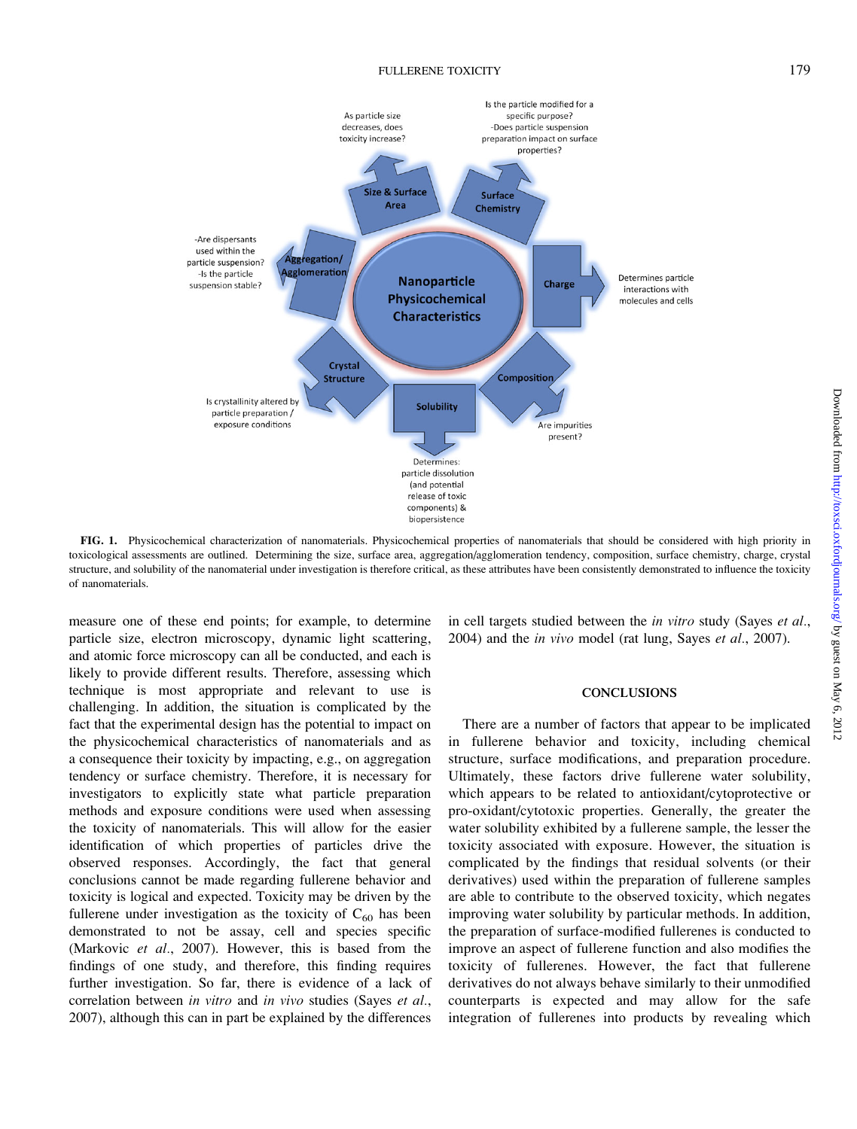

FIG. 1. Physicochemical characterization of nanomaterials. Physicochemical properties of nanomaterials that should be considered with high priority in toxicological assessments are outlined. Determining the size, surface area, aggregation/agglomeration tendency, composition, surface chemistry, charge, crystal structure, and solubility of the nanomaterial under investigation is therefore critical, as these attributes have been consistently demonstrated to influence the toxicity of nanomaterials.

measure one of these end points; for example, to determine particle size, electron microscopy, dynamic light scattering, and atomic force microscopy can all be conducted, and each is likely to provide different results. Therefore, assessing which technique is most appropriate and relevant to use is challenging. In addition, the situation is complicated by the fact that the experimental design has the potential to impact on the physicochemical characteristics of nanomaterials and as a consequence their toxicity by impacting, e.g., on aggregation tendency or surface chemistry. Therefore, it is necessary for investigators to explicitly state what particle preparation methods and exposure conditions were used when assessing the toxicity of nanomaterials. This will allow for the easier identification of which properties of particles drive the observed responses. Accordingly, the fact that general conclusions cannot be made regarding fullerene behavior and toxicity is logical and expected. Toxicity may be driven by the fullerene under investigation as the toxicity of  $C_{60}$  has been demonstrated to not be assay, cell and species specific (Markovic et al., 2007). However, this is based from the findings of one study, and therefore, this finding requires further investigation. So far, there is evidence of a lack of correlation between in vitro and in vivo studies (Sayes et al., 2007), although this can in part be explained by the differences

in cell targets studied between the in vitro study (Sayes et al., 2004) and the in vivo model (rat lung, Sayes et al., 2007).

### **CONCLUSIONS**

There are a number of factors that appear to be implicated in fullerene behavior and toxicity, including chemical structure, surface modifications, and preparation procedure. Ultimately, these factors drive fullerene water solubility, which appears to be related to antioxidant/cytoprotective or pro-oxidant/cytotoxic properties. Generally, the greater the water solubility exhibited by a fullerene sample, the lesser the toxicity associated with exposure. However, the situation is complicated by the findings that residual solvents (or their derivatives) used within the preparation of fullerene samples are able to contribute to the observed toxicity, which negates improving water solubility by particular methods. In addition, the preparation of surface-modified fullerenes is conducted to improve an aspect of fullerene function and also modifies the toxicity of fullerenes. However, the fact that fullerene derivatives do not always behave similarly to their unmodified counterparts is expected and may allow for the safe integration of fullerenes into products by revealing which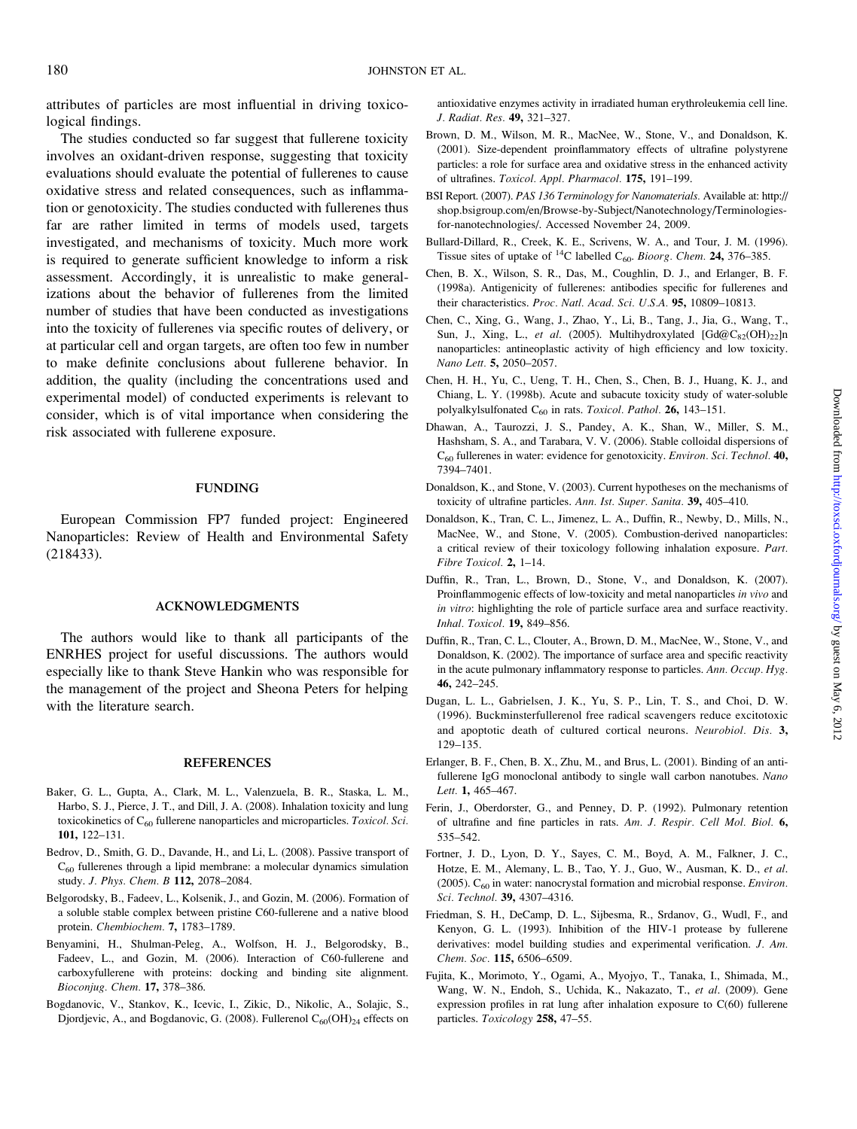attributes of particles are most influential in driving toxicological findings.

The studies conducted so far suggest that fullerene toxicity involves an oxidant-driven response, suggesting that toxicity evaluations should evaluate the potential of fullerenes to cause oxidative stress and related consequences, such as inflammation or genotoxicity. The studies conducted with fullerenes thus far are rather limited in terms of models used, targets investigated, and mechanisms of toxicity. Much more work is required to generate sufficient knowledge to inform a risk assessment. Accordingly, it is unrealistic to make generalizations about the behavior of fullerenes from the limited number of studies that have been conducted as investigations into the toxicity of fullerenes via specific routes of delivery, or at particular cell and organ targets, are often too few in number to make definite conclusions about fullerene behavior. In addition, the quality (including the concentrations used and experimental model) of conducted experiments is relevant to consider, which is of vital importance when considering the risk associated with fullerene exposure.

### FUNDING

European Commission FP7 funded project: Engineered Nanoparticles: Review of Health and Environmental Safety (218433).

# ACKNOWLEDGMENTS

The authors would like to thank all participants of the ENRHES project for useful discussions. The authors would especially like to thank Steve Hankin who was responsible for the management of the project and Sheona Peters for helping with the literature search.

### **REFERENCES**

- Baker, G. L., Gupta, A., Clark, M. L., Valenzuela, B. R., Staska, L. M., Harbo, S. J., Pierce, J. T., and Dill, J. A. (2008). Inhalation toxicity and lung toxicokinetics of  $C_{60}$  fullerene nanoparticles and microparticles. Toxicol. Sci. 101, 122–131.
- Bedrov, D., Smith, G. D., Davande, H., and Li, L. (2008). Passive transport of  $C_{60}$  fullerenes through a lipid membrane: a molecular dynamics simulation study. J. Phys. Chem. B 112, 2078–2084.
- Belgorodsky, B., Fadeev, L., Kolsenik, J., and Gozin, M. (2006). Formation of a soluble stable complex between pristine C60-fullerene and a native blood protein. Chembiochem. 7, 1783–1789.
- Benyamini, H., Shulman-Peleg, A., Wolfson, H. J., Belgorodsky, B., Fadeev, L., and Gozin, M. (2006). Interaction of C60-fullerene and carboxyfullerene with proteins: docking and binding site alignment. Bioconjug. Chem. 17, 378–386.
- Bogdanovic, V., Stankov, K., Icevic, I., Zikic, D., Nikolic, A., Solajic, S., Djordjevic, A., and Bogdanovic, G. (2008). Fullerenol  $C_{60}(OH)_{24}$  effects on

antioxidative enzymes activity in irradiated human erythroleukemia cell line. J. Radiat. Res. 49, 321–327.

- Brown, D. M., Wilson, M. R., MacNee, W., Stone, V., and Donaldson, K. (2001). Size-dependent proinflammatory effects of ultrafine polystyrene particles: a role for surface area and oxidative stress in the enhanced activity of ultrafines. Toxicol. Appl. Pharmacol. 175, 191–199.
- BSI Report. (2007). PAS 136 Terminology for Nanomaterials. Available at: [http://](http://shop.bsigroup.com/en/Browse-by-Subject/Nanotechnology/Terminologies-for-nanotechnologies/. Accessed November 24, 2009.) [shop.bsigroup.com/en/Browse-by-Subject/Nanotechnology/Terminologies](http://shop.bsigroup.com/en/Browse-by-Subject/Nanotechnology/Terminologies-for-nanotechnologies/. Accessed November 24, 2009.)[for-nanotechnologies/. Accessed November 24, 2009.](http://shop.bsigroup.com/en/Browse-by-Subject/Nanotechnology/Terminologies-for-nanotechnologies/. Accessed November 24, 2009.)
- Bullard-Dillard, R., Creek, K. E., Scrivens, W. A., and Tour, J. M. (1996). Tissue sites of uptake of <sup>14</sup>C labelled C<sub>60</sub>. Bioorg. Chem. **24,** 376–385.
- Chen, B. X., Wilson, S. R., Das, M., Coughlin, D. J., and Erlanger, B. F. (1998a). Antigenicity of fullerenes: antibodies specific for fullerenes and their characteristics. Proc. Natl. Acad. Sci. U.S.A. 95, 10809-10813.
- Chen, C., Xing, G., Wang, J., Zhao, Y., Li, B., Tang, J., Jia, G., Wang, T., Sun, J., Xing, L., et al. (2005). Multihydroxylated  $[Gd@C_{82}(OH)_{22}]n$ nanoparticles: antineoplastic activity of high efficiency and low toxicity. Nano Lett. 5, 2050–2057.
- Chen, H. H., Yu, C., Ueng, T. H., Chen, S., Chen, B. J., Huang, K. J., and Chiang, L. Y. (1998b). Acute and subacute toxicity study of water-soluble polyalkylsulfonated  $C_{60}$  in rats. Toxicol. Pathol. 26, 143-151.
- Dhawan, A., Taurozzi, J. S., Pandey, A. K., Shan, W., Miller, S. M., Hashsham, S. A., and Tarabara, V. V. (2006). Stable colloidal dispersions of C60 fullerenes in water: evidence for genotoxicity. Environ. Sci. Technol. 40, 7394–7401.
- Donaldson, K., and Stone, V. (2003). Current hypotheses on the mechanisms of toxicity of ultrafine particles. Ann. Ist. Super. Sanita. 39, 405-410.
- Donaldson, K., Tran, C. L., Jimenez, L. A., Duffin, R., Newby, D., Mills, N., MacNee, W., and Stone, V. (2005). Combustion-derived nanoparticles: a critical review of their toxicology following inhalation exposure. Part. Fibre Toxicol. 2, 1–14.
- Duffin, R., Tran, L., Brown, D., Stone, V., and Donaldson, K. (2007). Proinflammogenic effects of low-toxicity and metal nanoparticles in vivo and in vitro: highlighting the role of particle surface area and surface reactivity. Inhal. Toxicol. 19, 849–856.
- Duffin, R., Tran, C. L., Clouter, A., Brown, D. M., MacNee, W., Stone, V., and Donaldson, K. (2002). The importance of surface area and specific reactivity in the acute pulmonary inflammatory response to particles. Ann. Occup. Hyg. 46, 242–245.
- Dugan, L. L., Gabrielsen, J. K., Yu, S. P., Lin, T. S., and Choi, D. W. (1996). Buckminsterfullerenol free radical scavengers reduce excitotoxic and apoptotic death of cultured cortical neurons. Neurobiol. Dis. 3, 129–135.
- Erlanger, B. F., Chen, B. X., Zhu, M., and Brus, L. (2001). Binding of an antifullerene IgG monoclonal antibody to single wall carbon nanotubes. Nano Lett. 1, 465-467.
- Ferin, J., Oberdorster, G., and Penney, D. P. (1992). Pulmonary retention of ultrafine and fine particles in rats. Am. J. Respir. Cell Mol. Biol. 6, 535–542.
- Fortner, J. D., Lyon, D. Y., Sayes, C. M., Boyd, A. M., Falkner, J. C., Hotze, E. M., Alemany, L. B., Tao, Y. J., Guo, W., Ausman, K. D., et al. (2005).  $C_{60}$  in water: nanocrystal formation and microbial response. *Environ*. Sci. Technol. 39, 4307–4316.
- Friedman, S. H., DeCamp, D. L., Sijbesma, R., Srdanov, G., Wudl, F., and Kenyon, G. L. (1993). Inhibition of the HIV-1 protease by fullerene derivatives: model building studies and experimental verification. J. Am. Chem. Soc. 115, 6506–6509.
- Fujita, K., Morimoto, Y., Ogami, A., Myojyo, T., Tanaka, I., Shimada, M., Wang, W. N., Endoh, S., Uchida, K., Nakazato, T., et al. (2009). Gene expression profiles in rat lung after inhalation exposure to  $C(60)$  fullerene particles. Toxicology 258, 47-55.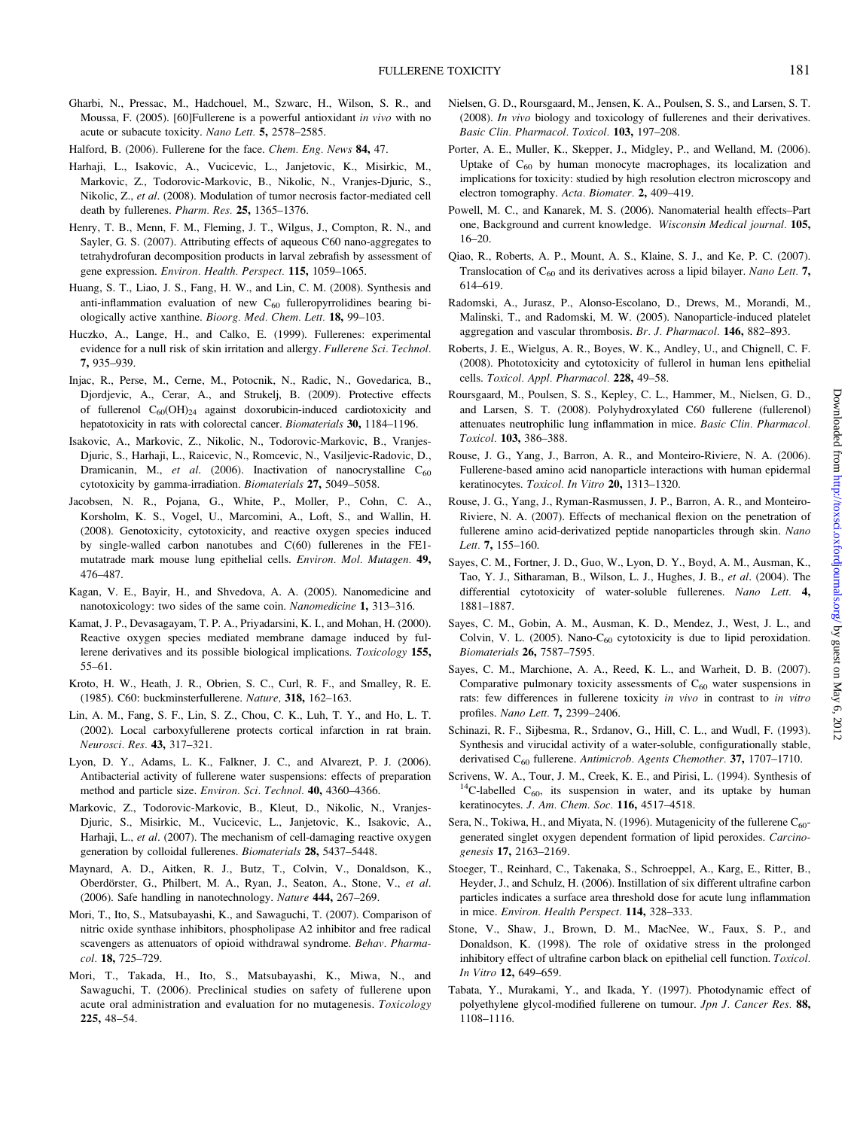- Gharbi, N., Pressac, M., Hadchouel, M., Szwarc, H., Wilson, S. R., and Moussa, F. (2005). [60]Fullerene is a powerful antioxidant in vivo with no acute or subacute toxicity. Nano Lett. 5, 2578–2585.
- Halford, B. (2006). Fullerene for the face. Chem. Eng. News 84, 47.
- Harhaji, L., Isakovic, A., Vucicevic, L., Janjetovic, K., Misirkic, M., Markovic, Z., Todorovic-Markovic, B., Nikolic, N., Vranjes-Djuric, S., Nikolic, Z., et al. (2008). Modulation of tumor necrosis factor-mediated cell death by fullerenes. Pharm. Res. 25, 1365–1376.
- Henry, T. B., Menn, F. M., Fleming, J. T., Wilgus, J., Compton, R. N., and Sayler, G. S. (2007). Attributing effects of aqueous C60 nano-aggregates to tetrahydrofuran decomposition products in larval zebrafish by assessment of gene expression. Environ. Health. Perspect. 115, 1059–1065.
- Huang, S. T., Liao, J. S., Fang, H. W., and Lin, C. M. (2008). Synthesis and anti-inflammation evaluation of new  $C_{60}$  fulleropyrrolidines bearing biologically active xanthine. Bioorg. Med. Chem. Lett. 18, 99–103.
- Huczko, A., Lange, H., and Calko, E. (1999). Fullerenes: experimental evidence for a null risk of skin irritation and allergy. Fullerene Sci. Technol. 7, 935–939.
- Injac, R., Perse, M., Cerne, M., Potocnik, N., Radic, N., Govedarica, B., Djordjevic, A., Cerar, A., and Strukelj, B. (2009). Protective effects of fullerenol  $C_{60}(OH)_{24}$  against doxorubicin-induced cardiotoxicity and hepatotoxicity in rats with colorectal cancer. Biomaterials 30, 1184-1196.
- Isakovic, A., Markovic, Z., Nikolic, N., Todorovic-Markovic, B., Vranjes-Djuric, S., Harhaji, L., Raicevic, N., Romcevic, N., Vasiljevic-Radovic, D., Dramicanin, M., et al. (2006). Inactivation of nanocrystalline  $C_{60}$ cytotoxicity by gamma-irradiation. Biomaterials 27, 5049–5058.
- Jacobsen, N. R., Pojana, G., White, P., Moller, P., Cohn, C. A., Korsholm, K. S., Vogel, U., Marcomini, A., Loft, S., and Wallin, H. (2008). Genotoxicity, cytotoxicity, and reactive oxygen species induced by single-walled carbon nanotubes and C(60) fullerenes in the FE1 mutatrade mark mouse lung epithelial cells. Environ. Mol. Mutagen. 49, 476–487.
- Kagan, V. E., Bayir, H., and Shvedova, A. A. (2005). Nanomedicine and nanotoxicology: two sides of the same coin. Nanomedicine 1, 313–316.
- Kamat, J. P., Devasagayam, T. P. A., Priyadarsini, K. I., and Mohan, H. (2000). Reactive oxygen species mediated membrane damage induced by fullerene derivatives and its possible biological implications. Toxicology 155, 55–61.
- Kroto, H. W., Heath, J. R., Obrien, S. C., Curl, R. F., and Smalley, R. E. (1985). C60: buckminsterfullerene. Nature, 318, 162–163.
- Lin, A. M., Fang, S. F., Lin, S. Z., Chou, C. K., Luh, T. Y., and Ho, L. T. (2002). Local carboxyfullerene protects cortical infarction in rat brain. Neurosci. Res. 43, 317–321.
- Lyon, D. Y., Adams, L. K., Falkner, J. C., and Alvarezt, P. J. (2006). Antibacterial activity of fullerene water suspensions: effects of preparation method and particle size. Environ. Sci. Technol. 40, 4360–4366.
- Markovic, Z., Todorovic-Markovic, B., Kleut, D., Nikolic, N., Vranjes-Djuric, S., Misirkic, M., Vucicevic, L., Janjetovic, K., Isakovic, A., Harhaji, L., et al. (2007). The mechanism of cell-damaging reactive oxygen generation by colloidal fullerenes. Biomaterials 28, 5437–5448.
- Maynard, A. D., Aitken, R. J., Butz, T., Colvin, V., Donaldson, K., Oberdörster, G., Philbert, M. A., Ryan, J., Seaton, A., Stone, V., et al. (2006). Safe handling in nanotechnology. Nature 444, 267–269.
- Mori, T., Ito, S., Matsubayashi, K., and Sawaguchi, T. (2007). Comparison of nitric oxide synthase inhibitors, phospholipase A2 inhibitor and free radical scavengers as attenuators of opioid withdrawal syndrome. Behav. Pharmacol. 18, 725–729.
- Mori, T., Takada, H., Ito, S., Matsubayashi, K., Miwa, N., and Sawaguchi, T. (2006). Preclinical studies on safety of fullerene upon acute oral administration and evaluation for no mutagenesis. Toxicology 225, 48–54.
- Nielsen, G. D., Roursgaard, M., Jensen, K. A., Poulsen, S. S., and Larsen, S. T. (2008). In vivo biology and toxicology of fullerenes and their derivatives. Basic Clin. Pharmacol. Toxicol. 103, 197–208.
- Porter, A. E., Muller, K., Skepper, J., Midgley, P., and Welland, M. (2006). Uptake of  $C_{60}$  by human monocyte macrophages, its localization and implications for toxicity: studied by high resolution electron microscopy and electron tomography. Acta. Biomater. 2, 409–419.
- Powell, M. C., and Kanarek, M. S. (2006). Nanomaterial health effects–Part one, Background and current knowledge. Wisconsin Medical journal. 105, 16–20.
- Qiao, R., Roberts, A. P., Mount, A. S., Klaine, S. J., and Ke, P. C. (2007). Translocation of  $C_{60}$  and its derivatives across a lipid bilayer. Nano Lett. 7, 614–619.
- Radomski, A., Jurasz, P., Alonso-Escolano, D., Drews, M., Morandi, M., Malinski, T., and Radomski, M. W. (2005). Nanoparticle-induced platelet aggregation and vascular thrombosis. Br. J. Pharmacol. 146, 882–893.
- Roberts, J. E., Wielgus, A. R., Boyes, W. K., Andley, U., and Chignell, C. F. (2008). Phototoxicity and cytotoxicity of fullerol in human lens epithelial cells. Toxicol. Appl. Pharmacol. 228, 49-58.
- Roursgaard, M., Poulsen, S. S., Kepley, C. L., Hammer, M., Nielsen, G. D., and Larsen, S. T. (2008). Polyhydroxylated C60 fullerene (fullerenol) attenuates neutrophilic lung inflammation in mice. Basic Clin. Pharmacol. Toxicol. 103, 386–388.
- Rouse, J. G., Yang, J., Barron, A. R., and Monteiro-Riviere, N. A. (2006). Fullerene-based amino acid nanoparticle interactions with human epidermal keratinocytes. Toxicol. In Vitro 20, 1313-1320.
- Rouse, J. G., Yang, J., Ryman-Rasmussen, J. P., Barron, A. R., and Monteiro-Riviere, N. A. (2007). Effects of mechanical flexion on the penetration of fullerene amino acid-derivatized peptide nanoparticles through skin. Nano Lett. 7, 155–160.
- Sayes, C. M., Fortner, J. D., Guo, W., Lyon, D. Y., Boyd, A. M., Ausman, K., Tao, Y. J., Sitharaman, B., Wilson, L. J., Hughes, J. B., et al. (2004). The differential cytotoxicity of water-soluble fullerenes. Nano Lett. 4, 1881–1887.
- Sayes, C. M., Gobin, A. M., Ausman, K. D., Mendez, J., West, J. L., and Colvin, V. L. (2005). Nano- $C_{60}$  cytotoxicity is due to lipid peroxidation. Biomaterials 26, 7587–7595.
- Sayes, C. M., Marchione, A. A., Reed, K. L., and Warheit, D. B. (2007). Comparative pulmonary toxicity assessments of  $C_{60}$  water suspensions in rats: few differences in fullerene toxicity in vivo in contrast to in vitro profiles. Nano Lett. 7, 2399–2406.
- Schinazi, R. F., Sijbesma, R., Srdanov, G., Hill, C. L., and Wudl, F. (1993). Synthesis and virucidal activity of a water-soluble, configurationally stable, derivatised  $C_{60}$  fullerene. Antimicrob. Agents Chemother. 37, 1707–1710.
- Scrivens, W. A., Tour, J. M., Creek, K. E., and Pirisi, L. (1994). Synthesis of  $14$ C-labelled C<sub>60</sub>, its suspension in water, and its uptake by human keratinocytes. J. Am. Chem. Soc. 116, 4517–4518.
- Sera, N., Tokiwa, H., and Miyata, N. (1996). Mutagenicity of the fullerene  $C_{60}$ generated singlet oxygen dependent formation of lipid peroxides. Carcinogenesis 17, 2163–2169.
- Stoeger, T., Reinhard, C., Takenaka, S., Schroeppel, A., Karg, E., Ritter, B., Heyder, J., and Schulz, H. (2006). Instillation of six different ultrafine carbon particles indicates a surface area threshold dose for acute lung inflammation in mice. Environ. Health Perspect. 114, 328–333.
- Stone, V., Shaw, J., Brown, D. M., MacNee, W., Faux, S. P., and Donaldson, K. (1998). The role of oxidative stress in the prolonged inhibitory effect of ultrafine carbon black on epithelial cell function. Toxicol. In Vitro 12, 649–659.
- Tabata, Y., Murakami, Y., and Ikada, Y. (1997). Photodynamic effect of polyethylene glycol-modified fullerene on tumour. Jpn J. Cancer Res. 88, 1108–1116.